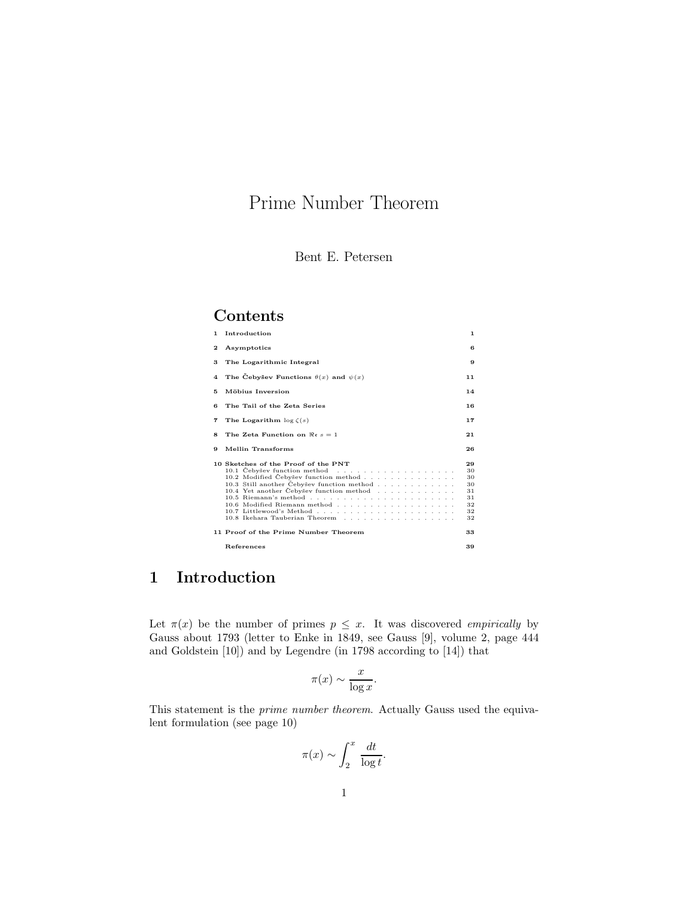# Prime Number Theorem

## **Contents**

| 1. | Introduction                                                                                                                                                                                                                             | 1.                                                 |
|----|------------------------------------------------------------------------------------------------------------------------------------------------------------------------------------------------------------------------------------------|----------------------------------------------------|
| 2  | Asymptotics                                                                                                                                                                                                                              | в                                                  |
| 3  | The Logarithmic Integral                                                                                                                                                                                                                 | 9                                                  |
| 4  | The Cebysev Functions $\theta(x)$ and $\psi(x)$                                                                                                                                                                                          | 11                                                 |
| 5  | Möbius Inversion                                                                                                                                                                                                                         | 14                                                 |
| в  | The Tail of the Zeta Series                                                                                                                                                                                                              | 16                                                 |
| 7  | The Logarithm $\log \zeta(s)$                                                                                                                                                                                                            | 17                                                 |
| 8  | The Zeta Function on $\Re s = 1$                                                                                                                                                                                                         | 21                                                 |
| 9  | Mellin Transforms                                                                                                                                                                                                                        | 26                                                 |
|    |                                                                                                                                                                                                                                          |                                                    |
|    | 10 Sketches of the Proof of the PNT<br>10.2 Modified Cebysev function method<br>10.3 Still another Cebyšev function method<br>10.4 Yet another Cebysev function method<br>10.6 Modified Riemann method<br>10.8 Ikehara Tauberian Theorem | 29<br>30<br>30<br>30<br>31<br>31<br>32<br>32<br>32 |
|    | 11 Proof of the Prime Number Theorem                                                                                                                                                                                                     | 33                                                 |

# **1 Introduction**

Let  $\pi(x)$  be the number of primes  $p \leq x$ . It was discovered *empirically* by Gauss about 1793 (letter to Enke in 1849, see Gauss [9], volume 2, page 444 and Goldstein [10]) and by Legendre (in 1798 according to [14]) that

$$
\pi(x) \sim \frac{x}{\log x}.
$$

This statement is the *prime number theorem*. Actually Gauss used the equivalent formulation (see page 10)

$$
\pi(x) \sim \int_2^x \frac{dt}{\log t}.
$$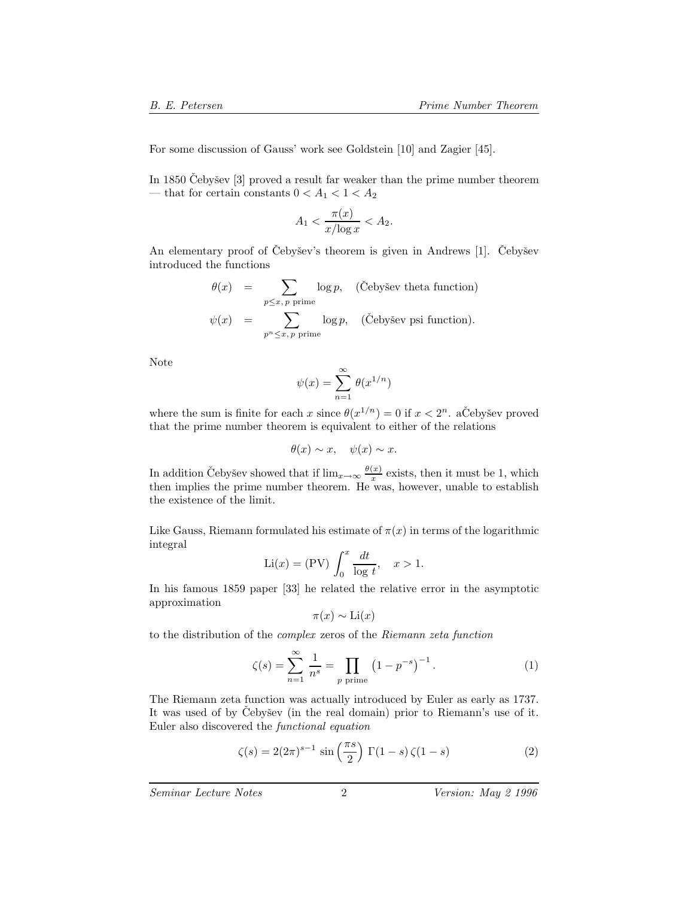For some discussion of Gauss' work see Goldstein [10] and Zagier [45].

In 1850 Čebyšev  $[3]$  proved a result far weaker than the prime number theorem — that for certain constants  $0 < A_1 < 1 < A_2$ 

$$
A_1 < \frac{\pi(x)}{x/\log x} < A_2.
$$

An elementary proof of Čebyšev's theorem is given in Andrews  $[1]$ . Čebyšev introduced the functions

$$
\theta(x) = \sum_{p \le x, p \text{ prime}} \log p, \quad (\text{Čebyšev theta function})
$$

$$
\psi(x) = \sum_{p^n \le x, p \text{ prime}} \log p, \quad (\text{Čebyšev psi function}).
$$

Note

$$
\psi(x) = \sum_{n=1}^{\infty} \theta(x^{1/n})
$$

where the sum is finite for each x since  $\theta(x^{1/n}) = 0$  if  $x < 2^n$ . aCebysev proved that the prime number theorem is equivalent to either of the relations

$$
\theta(x) \sim x, \quad \psi(x) \sim x.
$$

In addition Cebysev showed that if  $\lim_{x\to\infty} \frac{\theta(x)}{x}$  exists, then it must be 1, which then implies the prime number theorem. He was, however, unable to establish the existence of the limit.

Like Gauss, Riemann formulated his estimate of  $\pi(x)$  in terms of the logarithmic integral

$$
\text{Li}(x) = (\text{PV}) \int_0^x \frac{dt}{\log t}, \quad x > 1.
$$

In his famous 1859 paper [33] he related the relative error in the asymptotic approximation

$$
\pi(x) \sim \text{Li}(x)
$$

to the distribution of the *complex* zeros of the *Riemann zeta function*

$$
\zeta(s) = \sum_{n=1}^{\infty} \frac{1}{n^s} = \prod_{p \text{ prime}} (1 - p^{-s})^{-1}.
$$
 (1)

The Riemann zeta function was actually introduced by Euler as early as 1737. It was used of by Čebyšev (in the real domain) prior to Riemann's use of it. Euler also discovered the *functional equation*

$$
\zeta(s) = 2(2\pi)^{s-1} \sin\left(\frac{\pi s}{2}\right) \Gamma(1-s) \zeta(1-s) \tag{2}
$$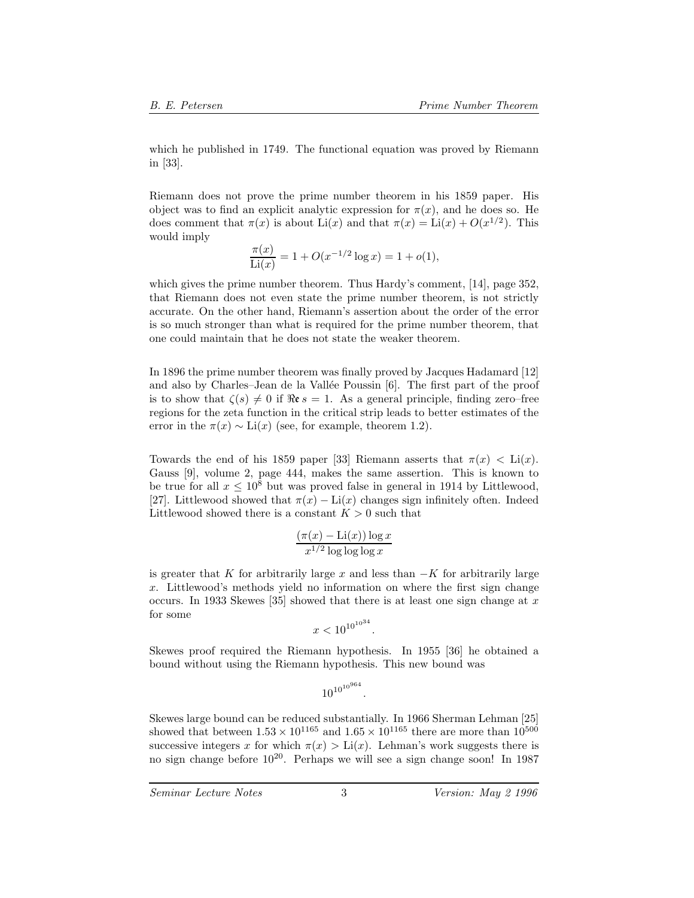which he published in 1749. The functional equation was proved by Riemann in [33].

Riemann does not prove the prime number theorem in his 1859 paper. His object was to find an explicit analytic expression for  $\pi(x)$ , and he does so. He does comment that  $\pi(x)$  is about Li(x) and that  $\pi(x) = \text{Li}(x) + O(x^{1/2})$ . This would imply

$$
\frac{\pi(x)}{\text{Li}(x)} = 1 + O(x^{-1/2}\log x) = 1 + o(1),
$$

which gives the prime number theorem. Thus Hardy's comment, [14], page 352. that Riemann does not even state the prime number theorem, is not strictly accurate. On the other hand, Riemann's assertion about the order of the error is so much stronger than what is required for the prime number theorem, that one could maintain that he does not state the weaker theorem.

In 1896 the prime number theorem was finally proved by Jacques Hadamard [12] and also by Charles–Jean de la Vallée Poussin [6]. The first part of the proof is to show that  $\zeta(s) \neq 0$  if  $\Re \varepsilon s = 1$ . As a general principle, finding zero–free regions for the zeta function in the critical strip leads to better estimates of the error in the  $\pi(x) \sim \text{Li}(x)$  (see, for example, theorem 1.2).

Towards the end of his 1859 paper [33] Riemann asserts that  $\pi(x) < \text{Li}(x)$ . Gauss [9], volume 2, page 444, makes the same assertion. This is known to be true for all  $x \leq 10^8$  but was proved false in general in 1914 by Littlewood, [27]. Littlewood showed that  $\pi(x) - \text{Li}(x)$  changes sign infinitely often. Indeed Littlewood showed there is a constant  $K > 0$  such that

$$
\frac{(\pi(x) - \text{Li}(x)) \log x}{x^{1/2} \log \log \log x}
$$

is greater that K for arbitrarily large x and less than  $-K$  for arbitrarily large x. Littlewood's methods yield no information on where the first sign change occurs. In 1933 Skewes [35] showed that there is at least one sign change at x for some

$$
x < 10^{10^{10^{34}}}
$$

.

Skewes proof required the Riemann hypothesis. In 1955 [36] he obtained a bound without using the Riemann hypothesis. This new bound was

$$
10^{10^{10^{964}}}.
$$

Skewes large bound can be reduced substantially. In 1966 Sherman Lehman [25] showed that between  $1.53 \times 10^{1165}$  and  $1.65 \times 10^{1165}$  there are more than  $10^{500}$ successive integers x for which  $\pi(x) > Li(x)$ . Lehman's work suggests there is no sign change before  $10^{20}$ . Perhaps we will see a sign change soon! In 1987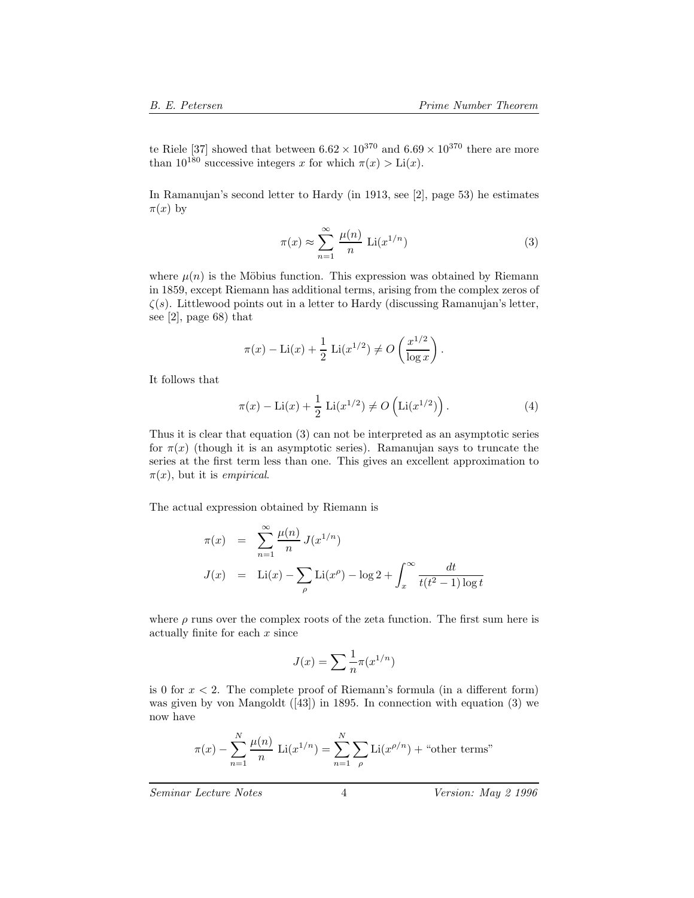te Riele [37] showed that between  $6.62 \times 10^{370}$  and  $6.69 \times 10^{370}$  there are more than  $10^{180}$  successive integers x for which  $\pi(x) > Li(x)$ .

In Ramanujan's second letter to Hardy (in 1913, see [2], page 53) he estimates  $\pi(x)$  by

$$
\pi(x) \approx \sum_{n=1}^{\infty} \frac{\mu(n)}{n} \operatorname{Li}(x^{1/n})
$$
 (3)

where  $\mu(n)$  is the Möbius function. This expression was obtained by Riemann in 1859, except Riemann has additional terms, arising from the complex zeros of  $\zeta(s)$ . Littlewood points out in a letter to Hardy (discussing Ramanujan's letter, see [2], page 68) that

$$
\pi(x) - Li(x) + \frac{1}{2} Li(x^{1/2}) \neq O\left(\frac{x^{1/2}}{\log x}\right).
$$

It follows that

$$
\pi(x) - Li(x) + \frac{1}{2} Li(x^{1/2}) \neq O\left( Li(x^{1/2})\right).
$$
 (4)

Thus it is clear that equation (3) can not be interpreted as an asymptotic series for  $\pi(x)$  (though it is an asymptotic series). Ramanujan says to truncate the series at the first term less than one. This gives an excellent approximation to  $\pi(x)$ , but it is *empirical*.

The actual expression obtained by Riemann is

$$
\pi(x) = \sum_{n=1}^{\infty} \frac{\mu(n)}{n} J(x^{1/n})
$$
  

$$
J(x) = \text{Li}(x) - \sum_{\rho} \text{Li}(x^{\rho}) - \log 2 + \int_{x}^{\infty} \frac{dt}{t(t^2 - 1) \log t}
$$

where  $\rho$  runs over the complex roots of the zeta function. The first sum here is actually finite for each  $x$  since

$$
J(x) = \sum \frac{1}{n} \pi(x^{1/n})
$$

is 0 for  $x < 2$ . The complete proof of Riemann's formula (in a different form) was given by von Mangoldt ([43]) in 1895. In connection with equation (3) we now have

$$
\pi(x) - \sum_{n=1}^{N} \frac{\mu(n)}{n} \text{Li}(x^{1/n}) = \sum_{n=1}^{N} \sum_{\rho} \text{Li}(x^{\rho/n}) + \text{``other terms''}
$$

*Seminar Lecture Notes* 4 *Version: May 2 1996*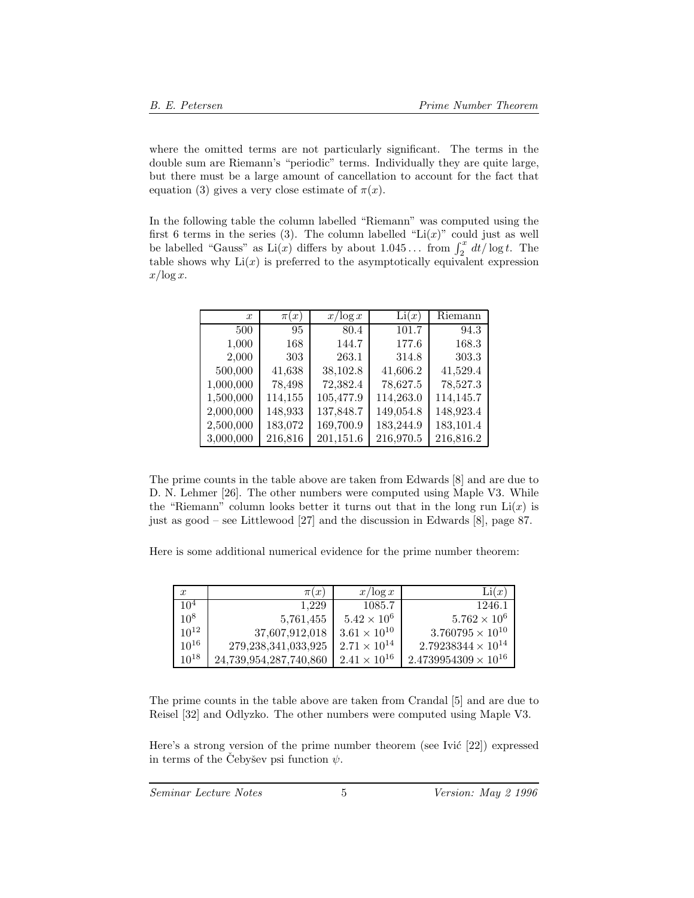where the omitted terms are not particularly significant. The terms in the double sum are Riemann's "periodic" terms. Individually they are quite large, but there must be a large amount of cancellation to account for the fact that equation (3) gives a very close estimate of  $\pi(x)$ .

In the following table the column labelled "Riemann" was computed using the first 6 terms in the series (3). The column labelled " $Li(x)$ " could just as well be labelled "Gauss" as  $\text{Li}(x)$  differs by about  $1.045...$  from  $\int_2^x dt/\log t$ . The table shows why  $\text{Li}(x)$  is preferred to the asymptotically equivalent expression table shows why  $Li(x)$  is preferred to the asymptotically equivalent expression  $x/\log x$ .

| $\boldsymbol{x}$ | $\pi(x)$ | $x/\log x$ | Li(x)     | Riemann   |
|------------------|----------|------------|-----------|-----------|
| 500              | 95       | 80.4       | 101.7     | 94.3      |
| 1,000            | 168      | 144.7      | 177.6     | 168.3     |
| 2,000            | 303      | 263.1      | 314.8     | 303.3     |
| 500,000          | 41,638   | 38,102.8   | 41,606.2  | 41,529.4  |
| 1,000,000        | 78,498   | 72,382.4   | 78,627.5  | 78,527.3  |
| 1,500,000        | 114,155  | 105,477.9  | 114,263.0 | 114,145.7 |
| 2,000,000        | 148,933  | 137,848.7  | 149,054.8 | 148,923.4 |
| 2,500,000        | 183,072  | 169,700.9  | 183,244.9 | 183,101.4 |
| 3,000,000        | 216,816  | 201,151.6  | 216,970.5 | 216,816.2 |

The prime counts in the table above are taken from Edwards [8] and are due to D. N. Lehmer [26]. The other numbers were computed using Maple V3. While the "Riemann" column looks better it turns out that in the long run  $Li(x)$  is just as good – see Littlewood [27] and the discussion in Edwards [8], page 87.

Here is some additional numerical evidence for the prime number theorem:

| $\boldsymbol{x}$ | $\pi(x)$                | $x/\log x$            | Li(x)                         |
|------------------|-------------------------|-----------------------|-------------------------------|
| 10 <sup>4</sup>  | 1.229                   | 1085.7                | 1246.1                        |
| $10^{8}$         | 5,761,455               | $5.42 \times 10^{6}$  | $5.762 \times 10^{6}$         |
| $10^{12}$        | 37,607,912,018          | $3.61 \times 10^{10}$ | $3.760795 \times 10^{10}$     |
| $10^{16}$        | 279, 238, 341, 033, 925 | $2.71 \times 10^{14}$ | $2.79238344 \times 10^{14}$   |
| $10^{18}$        | 24,739,954,287,740,860  | $2.41 \times 10^{16}$ | $2.4739954309 \times 10^{16}$ |

The prime counts in the table above are taken from Crandal [5] and are due to Reisel [32] and Odlyzko. The other numbers were computed using Maple V3.

Here's a strong version of the prime number theorem (see Ivic  $[22]$ ) expressed in terms of the Cebyšev psi function  $\psi$ .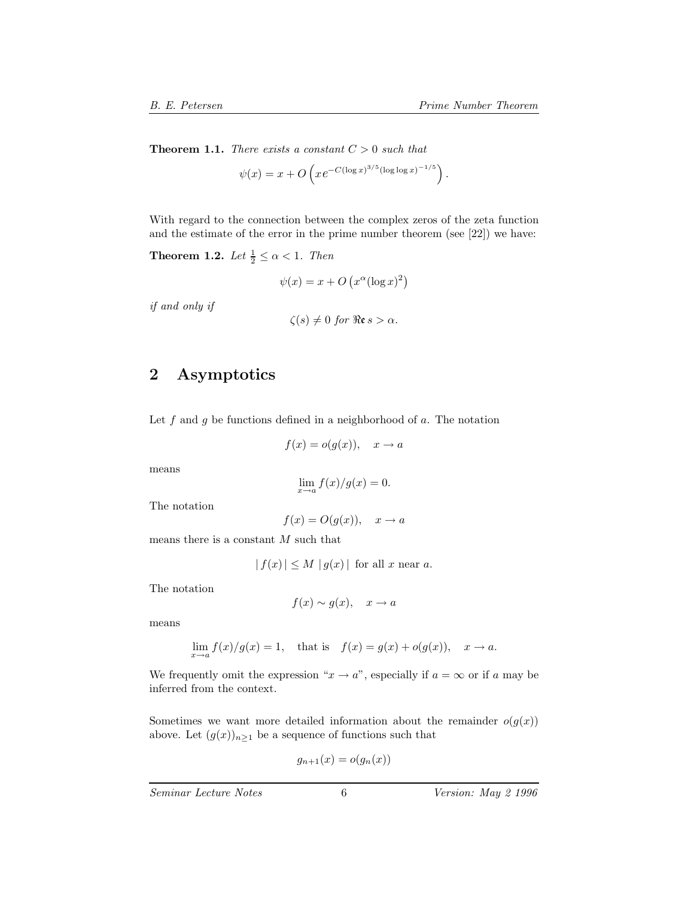**Theorem 1.1.** *There exists a constant*  $C > 0$  *such that* 

$$
\psi(x) = x + O\left(x e^{-C(\log x)^{3/5}(\log \log x)^{-1/5}}\right).
$$

With regard to the connection between the complex zeros of the zeta function and the estimate of the error in the prime number theorem (see [22]) we have:

**Theorem 1.2.** *Let*  $\frac{1}{2} \leq \alpha < 1$ *. Then* 

$$
\psi(x) = x + O\left(x^{\alpha} (\log x)^2\right)
$$

*if and only if*

$$
\zeta(s) \neq 0 \text{ for } \Re\mathfrak{e}s > \alpha.
$$

## **2 Asymptotics**

Let  $f$  and  $g$  be functions defined in a neighborhood of  $a$ . The notation

$$
f(x) = o(g(x)), \quad x \to a
$$

means

$$
\lim_{x \to a} f(x)/g(x) = 0.
$$

The notation

$$
f(x) = O(g(x)), \quad x \to a
$$

means there is a constant  $M$  such that

 $|f(x)| \leq M |g(x)|$  for all x near a.

The notation

 $f(x) \sim g(x), \quad x \to a$ 

means

$$
\lim_{x \to a} f(x)/g(x) = 1, \quad \text{that is} \quad f(x) = g(x) + o(g(x)), \quad x \to a.
$$

We frequently omit the expression " $x \to a$ ", especially if  $a = \infty$  or if a may be inferred from the context.

Sometimes we want more detailed information about the remainder  $o(g(x))$ above. Let  $(g(x))_{n\geq 1}$  be a sequence of functions such that

$$
g_{n+1}(x) = o(g_n(x))
$$

*Seminar Lecture Notes* 6 *Version: May 2 1996*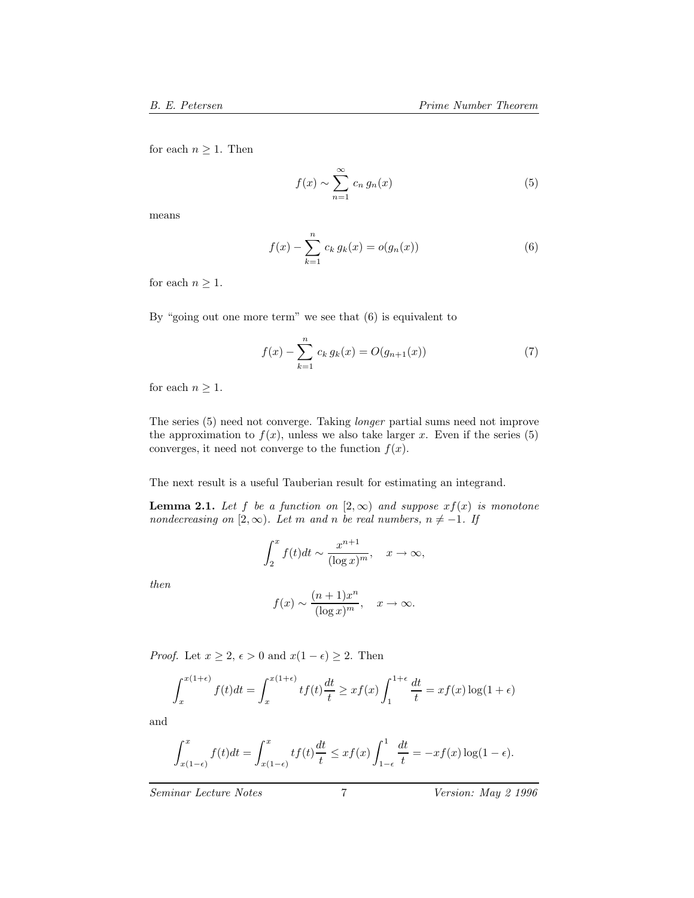for each  $n \geq 1$ . Then

 $f(x) \sim \sum^{\infty}$  $n=1$  $c_n g_n(x)$  (5)

means

$$
f(x) - \sum_{k=1}^{n} c_k g_k(x) = o(g_n(x))
$$
\n(6)

for each  $n \geq 1$ .

By "going out one more term" we see that (6) is equivalent to

$$
f(x) - \sum_{k=1}^{n} c_k g_k(x) = O(g_{n+1}(x))
$$
\n(7)

for each  $n \geq 1$ .

The series (5) need not converge. Taking *longer* partial sums need not improve the approximation to  $f(x)$ , unless we also take larger x. Even if the series (5) converges, it need not converge to the function  $f(x)$ .

The next result is a useful Tauberian result for estimating an integrand.

**Lemma 2.1.** *Let*  $f$  *be a function on*  $[2, \infty)$  *and suppose*  $xf(x)$  *is monotone nondecreasing on* [2,  $\infty$ )*. Let* m *and* n *be real numbers,*  $n \neq -1$ *. If* 

$$
\int_2^x f(t)dt \sim \frac{x^{n+1}}{(\log x)^m}, \quad x \to \infty,
$$

*then*

$$
f(x) \sim \frac{(n+1)x^n}{(\log x)^m}, \quad x \to \infty.
$$

*Proof.* Let  $x \geq 2$ ,  $\epsilon > 0$  and  $x(1 - \epsilon) \geq 2$ . Then

$$
\int_{x}^{x(1+\epsilon)} f(t)dt = \int_{x}^{x(1+\epsilon)} tf(t)\frac{dt}{t} \geq xf(x)\int_{1}^{1+\epsilon} \frac{dt}{t} = xf(x)\log(1+\epsilon)
$$

and

$$
\int_{x(1-\epsilon)}^x f(t)dt = \int_{x(1-\epsilon)}^x tf(t)\frac{dt}{t} \leq xf(x)\int_{1-\epsilon}^1 \frac{dt}{t} = -xf(x)\log(1-\epsilon).
$$

*Seminar Lecture Notes* 7 *Version: May 2 1996*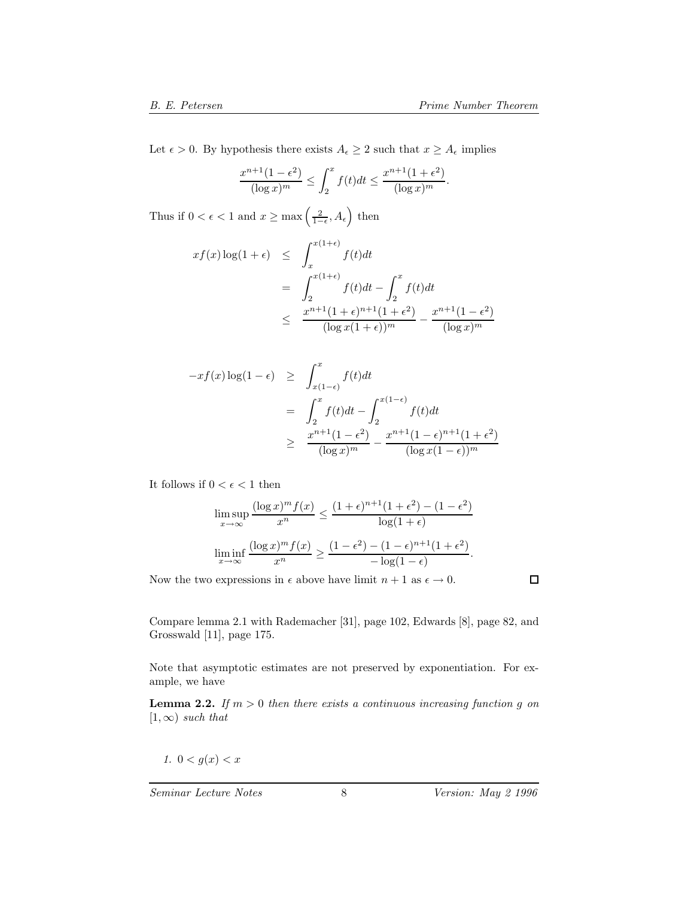Let  $\epsilon > 0.$  By hypothesis there exists  $A_\epsilon \geq 2$  such that  $x \geq A_\epsilon$  implies

$$
\frac{x^{n+1}(1-\epsilon^2)}{(\log x)^m} \le \int_2^x f(t)dt \le \frac{x^{n+1}(1+\epsilon^2)}{(\log x)^m}.
$$

Thus if  $0 < \epsilon < 1$  and  $x \ge \max\left(\frac{2}{1-\epsilon}, A_{\epsilon}\right)$  then

$$
xf(x)\log(1+\epsilon) \leq \int_{x}^{x(1+\epsilon)} f(t)dt
$$
  
= 
$$
\int_{2}^{x(1+\epsilon)} f(t)dt - \int_{2}^{x} f(t)dt
$$
  

$$
\leq \frac{x^{n+1}(1+\epsilon)^{n+1}(1+\epsilon^{2})}{(\log x(1+\epsilon))^{m}} - \frac{x^{n+1}(1-\epsilon^{2})}{(\log x)^{m}}
$$

$$
-xf(x)\log(1-\epsilon) \ge \int_{x(1-\epsilon)}^x f(t)dt
$$
  
= 
$$
\int_2^x f(t)dt - \int_2^{x(1-\epsilon)} f(t)dt
$$
  

$$
\ge \frac{x^{n+1}(1-\epsilon^2)}{(\log x)^m} - \frac{x^{n+1}(1-\epsilon)^{n+1}(1+\epsilon^2)}{(\log x(1-\epsilon))^m}
$$

It follows if  $0 < \epsilon < 1$  then

$$
\limsup_{x \to \infty} \frac{(\log x)^m f(x)}{x^n} \le \frac{(1+\epsilon)^{n+1} (1+\epsilon^2) - (1-\epsilon^2)}{\log(1+\epsilon)}
$$

$$
\liminf_{x \to \infty} \frac{(\log x)^m f(x)}{x^n} \ge \frac{(1-\epsilon^2) - (1-\epsilon)^{n+1} (1+\epsilon^2)}{-\log(1-\epsilon)}.
$$

Now the two expressions in  $\epsilon$  above have limit  $n + 1$  as  $\epsilon \to 0$ .

 $\Box$ 

Compare lemma 2.1 with Rademacher [31], page 102, Edwards [8], page 82, and Grosswald [11], page 175.

Note that asymptotic estimates are not preserved by exponentiation. For example, we have

**Lemma 2.2.** *If*  $m > 0$  *then there exists a continuous increasing function g on*  $[1, \infty)$  *such that* 

$$
1. \ 0 < g(x) < x
$$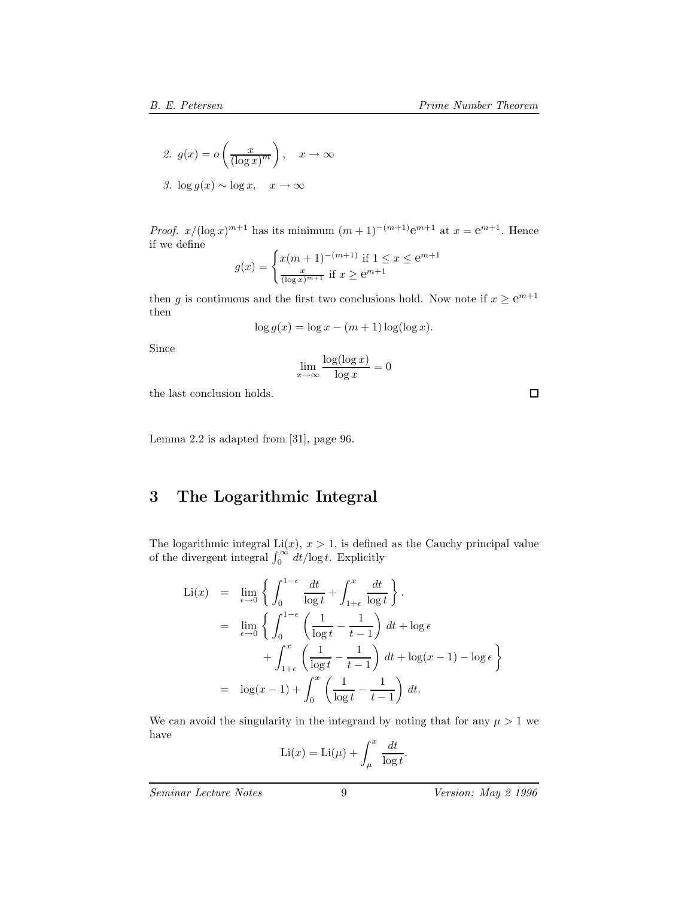2. 
$$
g(x) = o\left(\frac{x}{(\log x)^m}\right), \quad x \to \infty
$$

3. 
$$
\log g(x) \sim \log x, \quad x \to \infty
$$

*Proof.*  $x/(\log x)^{m+1}$  has its minimum  $(m+1)^{-(m+1)}e^{m+1}$  at  $x = e^{m+1}$ . Hence if we define

$$
g(x) = \begin{cases} x(m+1)^{-(m+1)} & \text{if } 1 \le x \le e^{m+1} \\ \frac{x}{(\log x)^{m+1}} & \text{if } x \ge e^{m+1} \end{cases}
$$

then g is continuous and the first two conclusions hold. Now note if  $x \ge e^{m+1}$ then

$$
\log g(x) = \log x - (m+1)\log(\log x).
$$

Since

$$
\lim_{x \to \infty} \frac{\log(\log x)}{\log x} = 0
$$

the last conclusion holds.

 $\Box$ 

Lemma 2.2 is adapted from [31], page 96.

## **3 The Logarithmic Integral**

The logarithmic integral  $Li(x)$ ,  $x > 1$ , is defined as the Cauchy principal value of the divergent integral  $\int_0^\infty dt/\log t$ . Explicitly

$$
\begin{array}{rcl}\n\text{Li}(x) & = & \lim_{\epsilon \to 0} \left\{ \int_0^{1-\epsilon} \frac{dt}{\log t} + \int_{1+\epsilon}^x \frac{dt}{\log t} \right\} \\
& = & \lim_{\epsilon \to 0} \left\{ \int_0^{1-\epsilon} \left( \frac{1}{\log t} - \frac{1}{t-1} \right) dt + \log \epsilon \right. \\
& & \left. + \int_{1+\epsilon}^x \left( \frac{1}{\log t} - \frac{1}{t-1} \right) dt + \log(x-1) - \log \epsilon \right\} \\
& = & \log(x-1) + \int_0^x \left( \frac{1}{\log t} - \frac{1}{t-1} \right) dt.\n\end{array}
$$

We can avoid the singularity in the integrand by noting that for any  $\mu > 1$  we have

$$
Li(x) = Li(\mu) + \int_{\mu}^{x} \frac{dt}{\log t}.
$$

*Seminar Lecture Notes* 9 *Version: May 2 1996*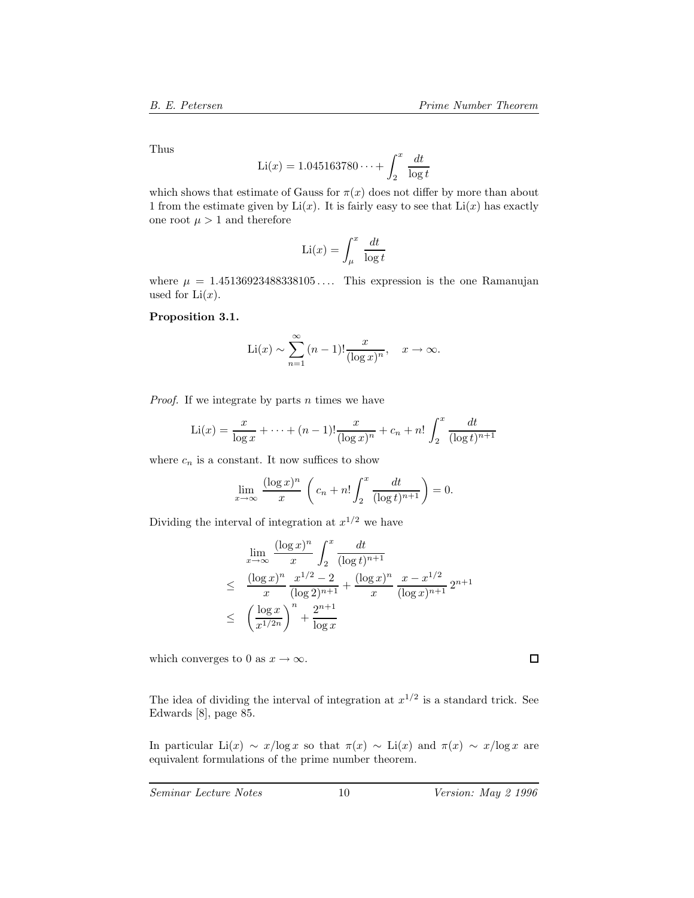Thus

$$
Li(x) = 1.045163780\dots + \int_{2}^{x} \frac{dt}{\log t}
$$

which shows that estimate of Gauss for  $\pi(x)$  does not differ by more than about 1 from the estimate given by  $Li(x)$ . It is fairly easy to see that  $Li(x)$  has exactly one root  $\mu > 1$  and therefore

$$
\text{Li}(x) = \int_{\mu}^{x} \frac{dt}{\log t}
$$

where  $\mu = 1.45136923488338105...$  This expression is the one Ramanujan used for  $Li(x)$ .

#### **Proposition 3.1.**

$$
\text{Li}(x) \sim \sum_{n=1}^{\infty} (n-1)! \frac{x}{(\log x)^n}, \quad x \to \infty.
$$

*Proof.* If we integrate by parts n times we have

$$
\text{Li}(x) = \frac{x}{\log x} + \dots + (n-1)! \frac{x}{(\log x)^n} + c_n + n! \int_2^x \frac{dt}{(\log t)^{n+1}}
$$

where  $c_n$  is a constant. It now suffices to show

$$
\lim_{x \to \infty} \frac{(\log x)^n}{x} \left( c_n + n! \int_2^x \frac{dt}{(\log t)^{n+1}} \right) = 0.
$$

Dividing the interval of integration at  $x^{1/2}$  we have

$$
\lim_{x \to \infty} \frac{(\log x)^n}{x} \int_2^x \frac{dt}{(\log t)^{n+1}}
$$
\n
$$
\leq \frac{(\log x)^n}{x} \frac{x^{1/2} - 2}{(\log 2)^{n+1}} + \frac{(\log x)^n}{x} \frac{x - x^{1/2}}{(\log x)^{n+1}} 2^{n+1}
$$
\n
$$
\leq \left(\frac{\log x}{x^{1/2n}}\right)^n + \frac{2^{n+1}}{\log x}
$$

which converges to 0 as  $x \to \infty$ .

The idea of dividing the interval of integration at  $x^{1/2}$  is a standard trick. See Edwards [8], page 85.

In particular Li(x) ~ x/log x so that  $\pi(x)$  ~ Li(x) and  $\pi(x)$  ~ x/log x are equivalent formulations of the prime number theorem.

 $\Box$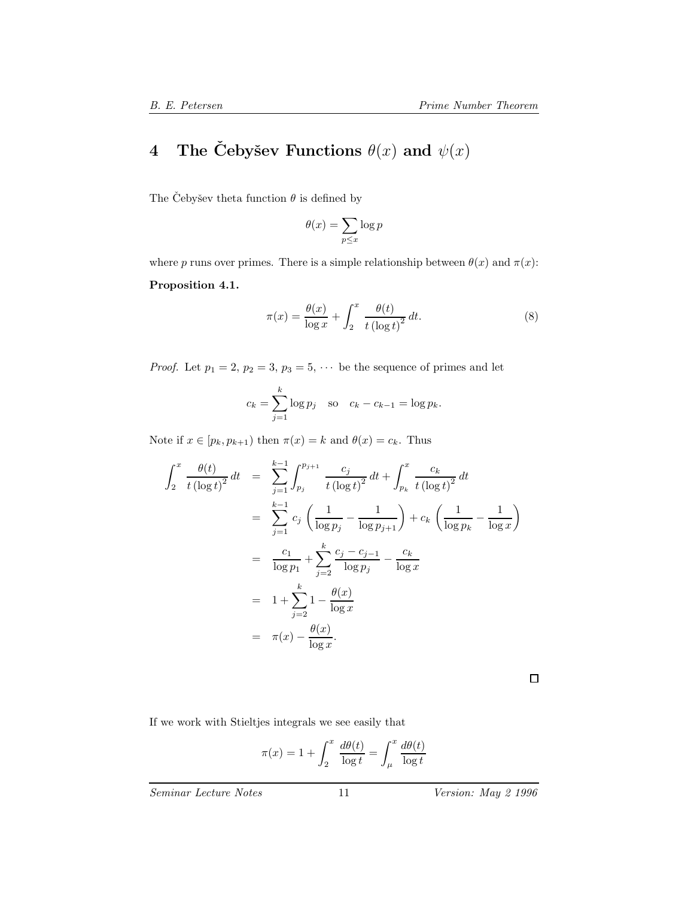# **4** The Čebyšev Functions  $\theta(x)$  and  $\psi(x)$

The Cebyšev theta function  $\theta$  is defined by

$$
\theta(x) = \sum_{p \le x} \log p
$$

where p runs over primes. There is a simple relationship between  $\theta(x)$  and  $\pi(x)$ :

#### **Proposition 4.1.**

$$
\pi(x) = \frac{\theta(x)}{\log x} + \int_2^x \frac{\theta(t)}{t(\log t)^2} dt.
$$
\n(8)

*Proof.* Let  $p_1 = 2$ ,  $p_2 = 3$ ,  $p_3 = 5$ ,  $\cdots$  be the sequence of primes and let

$$
c_k = \sum_{j=1}^k \log p_j
$$
 so  $c_k - c_{k-1} = \log p_k$ .

Note if  $x \in [p_k, p_{k+1})$  then  $\pi(x) = k$  and  $\theta(x) = c_k$ . Thus

$$
\int_{2}^{x} \frac{\theta(t)}{t (\log t)^{2}} dt = \sum_{j=1}^{k-1} \int_{p_{j}}^{p_{j+1}} \frac{c_{j}}{t (\log t)^{2}} dt + \int_{p_{k}}^{x} \frac{c_{k}}{t (\log t)^{2}} dt
$$
  
\n
$$
= \sum_{j=1}^{k-1} c_{j} \left( \frac{1}{\log p_{j}} - \frac{1}{\log p_{j+1}} \right) + c_{k} \left( \frac{1}{\log p_{k}} - \frac{1}{\log x} \right)
$$
  
\n
$$
= \frac{c_{1}}{\log p_{1}} + \sum_{j=2}^{k} \frac{c_{j} - c_{j-1}}{\log p_{j}} - \frac{c_{k}}{\log x}
$$
  
\n
$$
= 1 + \sum_{j=2}^{k} 1 - \frac{\theta(x)}{\log x}
$$
  
\n
$$
= \pi(x) - \frac{\theta(x)}{\log x}.
$$

 $\Box$ 

If we work with Stieltjes integrals we see easily that

$$
\pi(x) = 1 + \int_2^x \frac{d\theta(t)}{\log t} = \int_\mu^x \frac{d\theta(t)}{\log t}
$$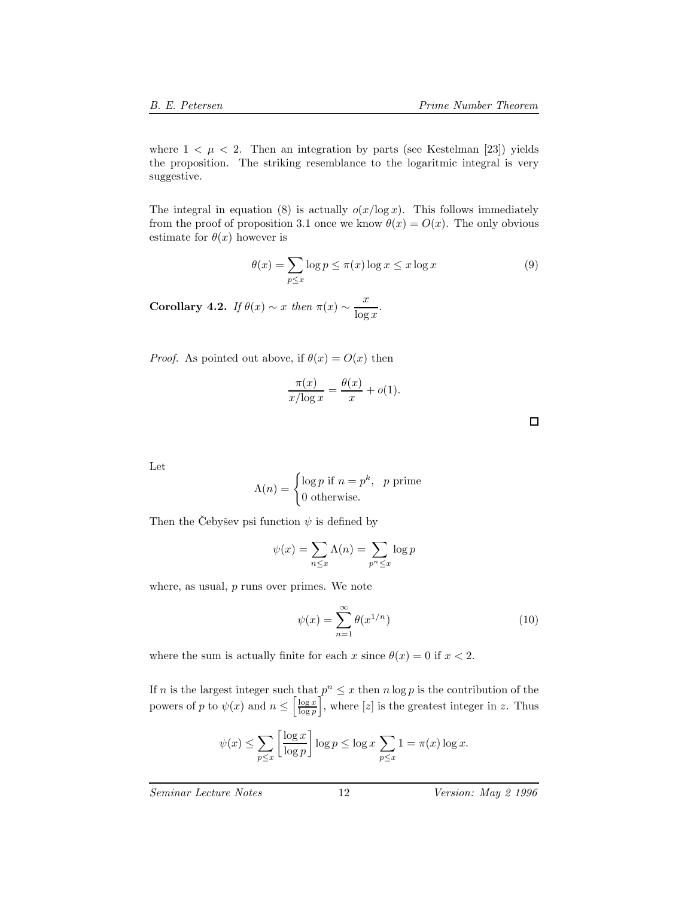where  $1 < \mu < 2$ . Then an integration by parts (see Kestelman [23]) yields the proposition. The striking resemblance to the logaritmic integral is very suggestive.

The integral in equation (8) is actually  $o(x/\log x)$ . This follows immediately from the proof of proposition 3.1 once we know  $\theta(x) = O(x)$ . The only obvious estimate for  $\theta(x)$  however is

$$
\theta(x) = \sum_{p \le x} \log p \le \pi(x) \log x \le x \log x \tag{9}
$$

**Corollary 4.2.** *If*  $\theta(x) \sim x$  *then*  $\pi(x) \sim \frac{x}{\log x}$ *.* 

*Proof.* As pointed out above, if  $\theta(x) = O(x)$  then

$$
\frac{\pi(x)}{x/\log x} = \frac{\theta(x)}{x} + o(1).
$$

 $\Box$ 

Let

$$
\Lambda(n) = \begin{cases} \log p & \text{if } n = p^k, \quad p \text{ prime} \\ 0 & \text{otherwise.} \end{cases}
$$

Then the Čebyšev psi function  $\psi$  is defined by

$$
\psi(x) = \sum_{n \le x} \Lambda(n) = \sum_{p^n \le x} \log p
$$

where, as usual,  $p$  runs over primes. We note

$$
\psi(x) = \sum_{n=1}^{\infty} \theta(x^{1/n})
$$
\n(10)

where the sum is actually finite for each x since  $\theta(x) = 0$  if  $x < 2$ .

If n is the largest integer such that  $p^n \leq x$  then  $n \log p$  is the contribution of the powers of p to  $\psi(x)$  and  $n \leq \left[\frac{\log x}{\log p}\right]$  $\int$ , where [z] is the greatest integer in z. Thus

$$
\psi(x) \le \sum_{p \le x} \left[ \frac{\log x}{\log p} \right] \log p \le \log x \sum_{p \le x} 1 = \pi(x) \log x.
$$

*Seminar Lecture Notes* 12 *Version: May 2 1996*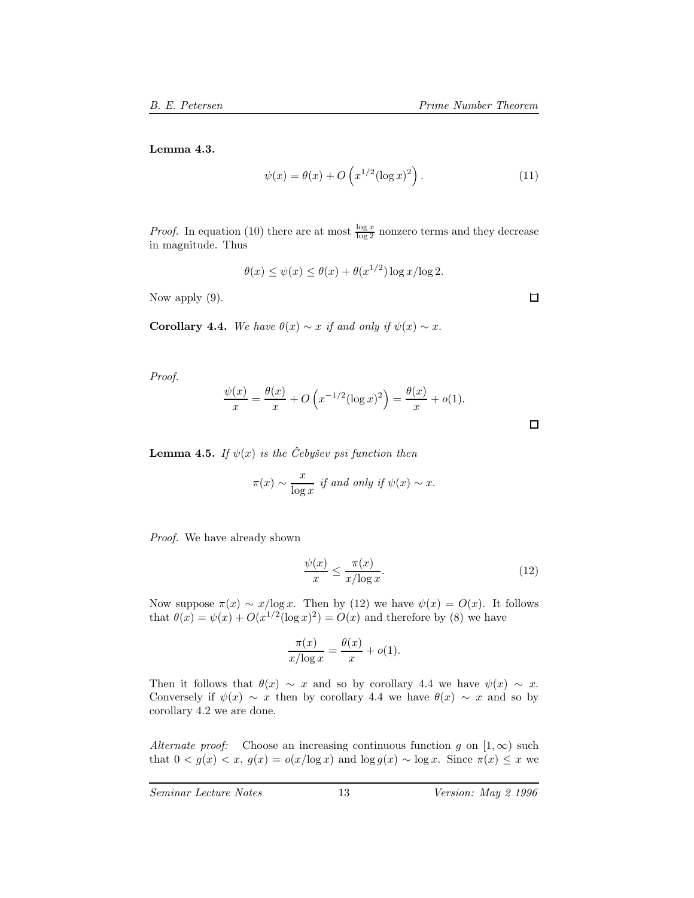**Lemma 4.3.**

$$
\psi(x) = \theta(x) + O\left(x^{1/2} (\log x)^2\right). \tag{11}
$$

*Proof.* In equation (10) there are at most  $\frac{\log x}{\log 2}$  nonzero terms and they decrease in magnitude. Thus

$$
\theta(x) \le \psi(x) \le \theta(x) + \theta(x^{1/2}) \log x / \log 2.
$$

Now apply (9).

**Corollary 4.4.** *We have*  $\theta(x) \sim x$  *if and only if*  $\psi(x) \sim x$ *.* 

*Proof.*

$$
\frac{\psi(x)}{x} = \frac{\theta(x)}{x} + O\left(x^{-1/2}(\log x)^2\right) = \frac{\theta(x)}{x} + o(1).
$$

**Lemma 4.5.** *If*  $\psi(x)$  *is the Cebyšev psi function then* 

$$
\pi(x) \sim \frac{x}{\log x}
$$
 if and only if  $\psi(x) \sim x$ .

*Proof.* We have already shown

$$
\frac{\psi(x)}{x} \le \frac{\pi(x)}{x/\log x}.\tag{12}
$$

Now suppose  $\pi(x) \sim x/\log x$ . Then by (12) we have  $\psi(x) = O(x)$ . It follows that  $\theta(x) = \psi(x) + O(x^{1/2}(\log x)^2) = O(x)$  and therefore by (8) we have

$$
\frac{\pi(x)}{x/\log x} = \frac{\theta(x)}{x} + o(1).
$$

Then it follows that  $\theta(x) \sim x$  and so by corollary 4.4 we have  $\psi(x) \sim x$ . Conversely if  $\psi(x) \sim x$  then by corollary 4.4 we have  $\theta(x) \sim x$  and so by corollary 4.2 we are done.

*Alternate proof:* Choose an increasing continuous function g on  $[1,\infty)$  such that  $0 < g(x) < x$ ,  $g(x) = o(x/\log x)$  and  $\log g(x) \sim \log x$ . Since  $\pi(x) \leq x$  we

 $\Box$ 

 $\Box$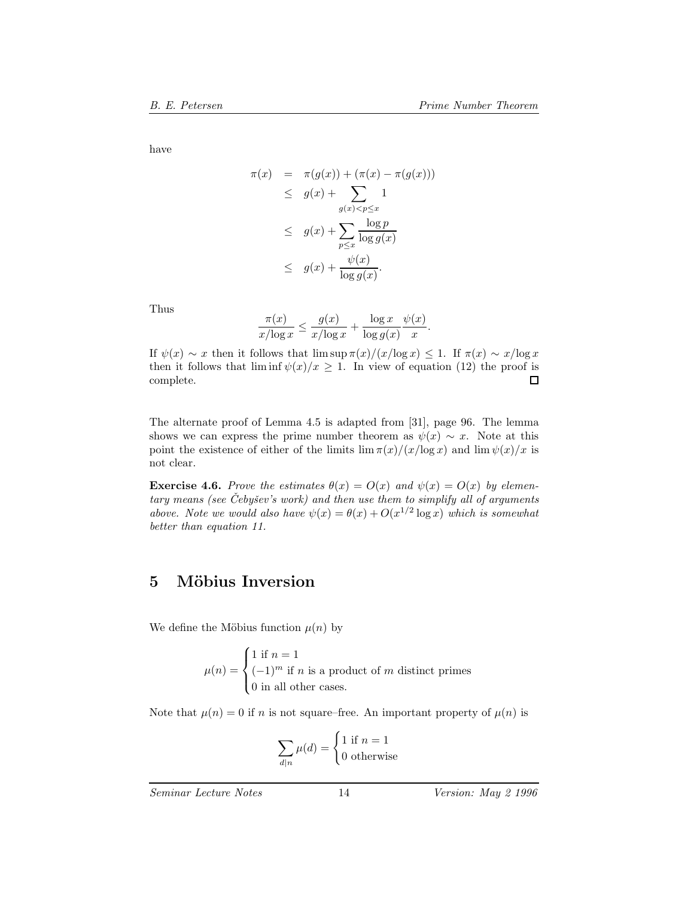have

$$
\pi(x) = \pi(g(x)) + (\pi(x) - \pi(g(x)))
$$
  
\n
$$
\leq g(x) + \sum_{g(x) < p \leq x} 1
$$
  
\n
$$
\leq g(x) + \sum_{p \leq x} \frac{\log p}{\log g(x)}
$$
  
\n
$$
\leq g(x) + \frac{\psi(x)}{\log g(x)}.
$$

Thus 
$$
\frac{\pi(x)}{x/\log x} \le \frac{g(x)}{x/\log x} + \frac{\log x}{\log g(x)} \frac{\psi(x)}{x}.
$$

If  $\psi(x) \sim x$  then it follows that  $\limsup \pi(x)/((x/\log x) \leq 1$ . If  $\pi(x) \sim x/\log x$ then it follows that  $\liminf \psi(x)/x \ge 1$ . In view of equation (12) the proof is complete. complete.

The alternate proof of Lemma 4.5 is adapted from [31], page 96. The lemma shows we can express the prime number theorem as  $\psi(x) \sim x$ . Note at this point the existence of either of the limits  $\lim_{x \to a} \frac{\pi(x)}{x \log x}$  and  $\lim_{x \to a} \frac{\psi(x)}{x}$  is not clear.

**Exercise 4.6.** *Prove the estimates*  $\theta(x) = O(x)$  *and*  $\psi(x) = O(x)$  *by elementary means (see Cebyˇ ˇ sev's work) and then use them to simplify all of arguments above.* Note we would also have  $\psi(x) = \theta(x) + O(x^{1/2} \log x)$  which is somewhat *better than equation 11.*

## **5 M¨obius Inversion**

We define the Möbius function  $\mu(n)$  by

 $\mu(n) =$  $\sqrt{ }$  $\int$  $\overline{a}$ 1 if  $n = 1$  $(-1)^m$  if n is a product of m distinct primes 0 in all other cases.

Note that  $\mu(n) = 0$  if n is not square–free. An important property of  $\mu(n)$  is

$$
\sum_{d|n} \mu(d) = \begin{cases} 1 \text{ if } n = 1 \\ 0 \text{ otherwise} \end{cases}
$$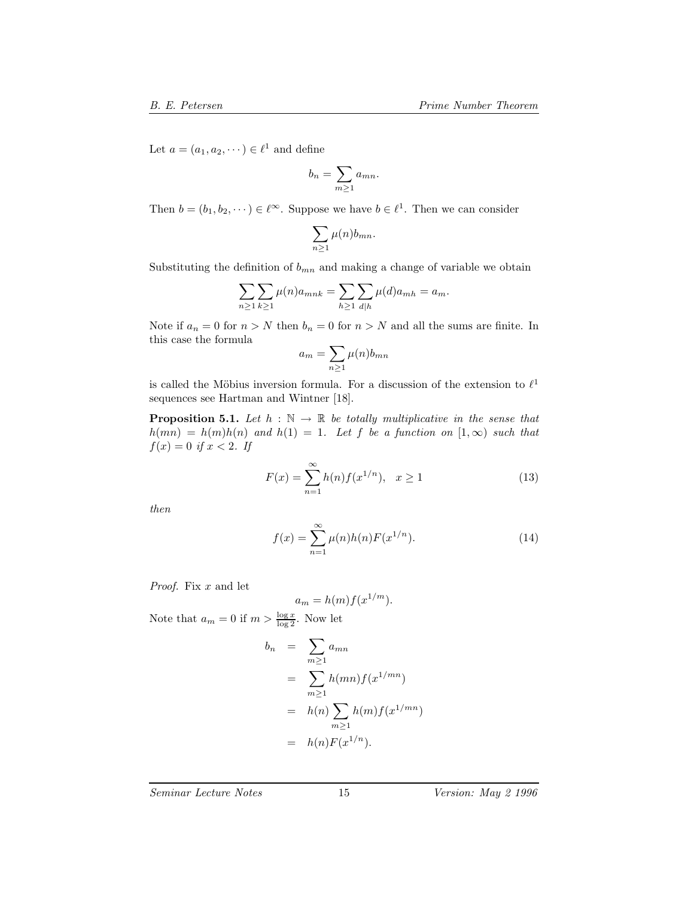Let  $a = (a_1, a_2, \dots) \in \ell^1$  and define

$$
b_n = \sum_{m \ge 1} a_{mn}.
$$

Then  $b = (b_1, b_2, \dots) \in \ell^{\infty}$ . Suppose we have  $b \in \ell^1$ . Then we can consider

$$
\sum_{n\geq 1}\mu(n)b_{mn}.
$$

Substituting the definition of  $b_{mn}$  and making a change of variable we obtain

$$
\sum_{n\geq 1}\sum_{k\geq 1}\mu(n)a_{mnk}=\sum_{h\geq 1}\sum_{d|h}\mu(d)a_{mh}=a_m.
$$

Note if  $a_n = 0$  for  $n > N$  then  $b_n = 0$  for  $n > N$  and all the sums are finite. In this case the formula

$$
a_m = \sum_{n\geq 1} \mu(n) b_{mn}
$$

is called the Möbius inversion formula. For a discussion of the extension to  $\ell^1$ sequences see Hartman and Wintner [18].

**Proposition 5.1.** *Let*  $h : \mathbb{N} \to \mathbb{R}$  *be totally multiplicative in the sense that*  $h(mn) = h(m)h(n)$  *and*  $h(1) = 1$ *. Let* f *be a function on*  $[1, \infty)$  *such that*  $f(x)=0$  *if*  $x < 2$ *. If* 

$$
F(x) = \sum_{n=1}^{\infty} h(n) f(x^{1/n}), \quad x \ge 1
$$
 (13)

*then*

$$
f(x) = \sum_{n=1}^{\infty} \mu(n)h(n)F(x^{1/n}).
$$
 (14)

*Proof.* Fix x and let

$$
a_m = h(m)f(x^{1/m}).
$$

Note that  $a_m = 0$  if  $m > \frac{\log x}{\log 2}$ . Now let

$$
b_n = \sum_{m\geq 1} a_{mn}
$$
  
= 
$$
\sum_{m\geq 1} h(mn) f(x^{1/mn})
$$
  
= 
$$
h(n) \sum_{m\geq 1} h(m) f(x^{1/mn})
$$
  
= 
$$
h(n) F(x^{1/n}).
$$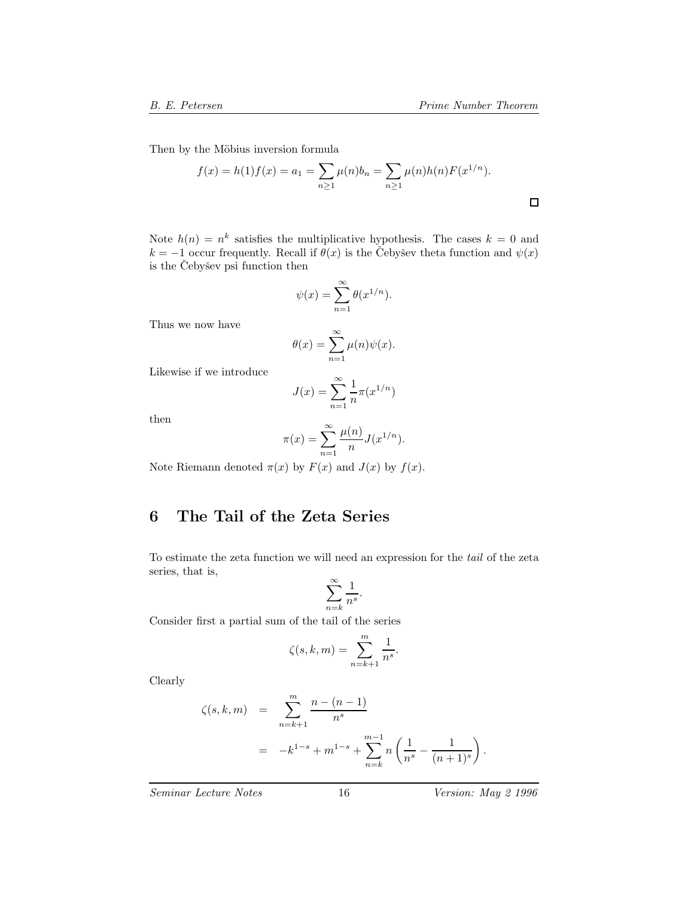Then by the Möbius inversion formula

$$
f(x) = h(1)f(x) = a_1 = \sum_{n \ge 1} \mu(n)b_n = \sum_{n \ge 1} \mu(n)h(n)F(x^{1/n}).
$$

Note  $h(n) = n^k$  satisfies the multiplicative hypothesis. The cases  $k = 0$  and  $k = -1$  occur frequently. Recall if  $\theta(x)$  is the Čebyšev theta function and  $\psi(x)$ is the Čebyšev psi function then

$$
\psi(x) = \sum_{n=1}^{\infty} \theta(x^{1/n}).
$$

Thus we now have

$$
\theta(x) = \sum_{n=1}^{\infty} \mu(n)\psi(x).
$$

Likewise if we introduce

$$
J(x) = \sum_{n=1}^{\infty} \frac{1}{n} \pi(x^{1/n})
$$

then

$$
\pi(x) = \sum_{n=1}^{\infty} \frac{\mu(n)}{n} J(x^{1/n}).
$$

Note Riemann denoted  $\pi(x)$  by  $F(x)$  and  $J(x)$  by  $f(x)$ .

# **6 The Tail of the Zeta Series**

To estimate the zeta function we will need an expression for the *tail* of the zeta series, that is,

$$
\sum_{n=k}^{\infty} \frac{1}{n^s}.
$$

Consider first a partial sum of the tail of the series

$$
\zeta(s,k,m) = \sum_{n=k+1}^{m} \frac{1}{n^s}.
$$

Clearly

$$
\zeta(s,k,m) = \sum_{n=k+1}^{m} \frac{n - (n-1)}{n^s}
$$
  
=  $-k^{1-s} + m^{1-s} + \sum_{n=k}^{m-1} n \left( \frac{1}{n^s} - \frac{1}{(n+1)^s} \right).$ 

*Seminar Lecture Notes* 16 *Version: May 2 1996*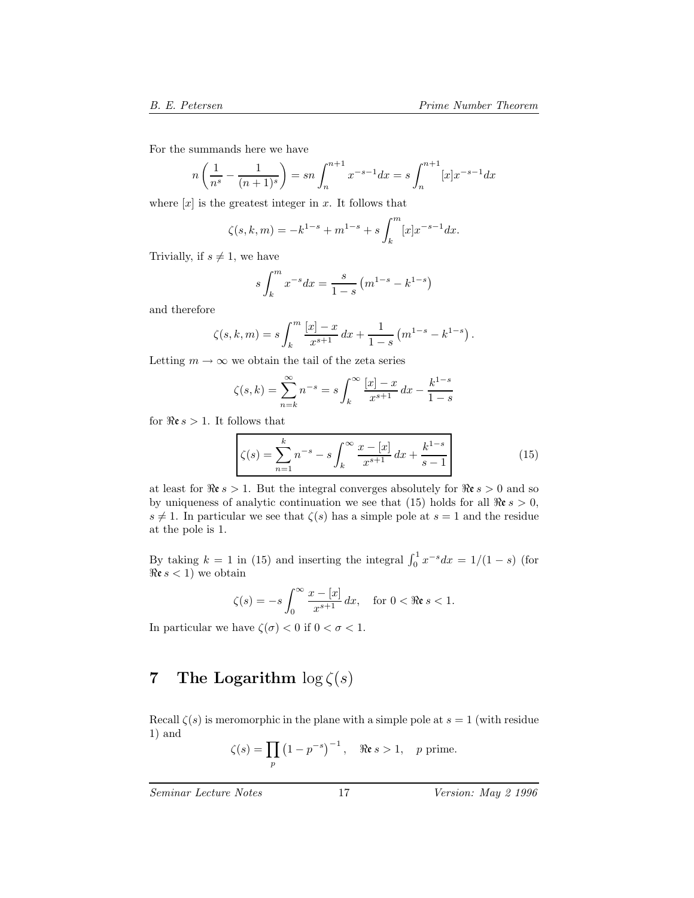For the summands here we have

$$
n\left(\frac{1}{n^s} - \frac{1}{(n+1)^s}\right) = sn \int_n^{n+1} x^{-s-1} dx = s \int_n^{n+1} [x] x^{-s-1} dx
$$

where  $[x]$  is the greatest integer in x. It follows that

$$
\zeta(s,k,m) = -k^{1-s} + m^{1-s} + s \int_k^m [x] x^{-s-1} dx.
$$

Trivially, if  $s \neq 1$ , we have

$$
s \int_{k}^{m} x^{-s} dx = \frac{s}{1-s} \left( m^{1-s} - k^{1-s} \right)
$$

and therefore

$$
\zeta(s,k,m) = s \int_k^m \frac{[x]-x}{x^{s+1}} dx + \frac{1}{1-s} (m^{1-s} - k^{1-s}).
$$

Letting  $m \to \infty$  we obtain the tail of the zeta series

$$
\zeta(s,k) = \sum_{n=k}^{\infty} n^{-s} = s \int_{k}^{\infty} \frac{[x] - x}{x^{s+1}} dx - \frac{k^{1-s}}{1-s}
$$

for  $\Re \epsilon s > 1$ . It follows that

$$
\zeta(s) = \sum_{n=1}^{k} n^{-s} - s \int_{k}^{\infty} \frac{x - [x]}{x^{s+1}} dx + \frac{k^{1-s}}{s-1}
$$
(15)

at least for  $\Re \epsilon s > 1$ . But the integral converges absolutely for  $\Re \epsilon s > 0$  and so by uniqueness of analytic continuation we see that (15) holds for all  $\Re \epsilon s > 0$ ,  $s \neq 1$ . In particular we see that  $\zeta(s)$  has a simple pole at  $s = 1$  and the residue at the pole is 1.

By taking  $k = 1$  in (15) and inserting the integral  $\int_0^1 x^{-s} dx = 1/(1-s)$  (for  $\Re s < 1$ ) we obtain  $\Re \varepsilon s < 1$  we obtain

$$
\zeta(s) = -s \int_0^\infty \frac{x - [x]}{x^{s+1}} dx, \quad \text{for } 0 < \Re\mathfrak{e}\, s < 1.
$$

In particular we have  $\zeta(\sigma) < 0$  if  $0 < \sigma < 1$ .

# **7** The Logarithm  $\log \zeta(s)$

Recall  $\zeta(s)$  is meromorphic in the plane with a simple pole at  $s = 1$  (with residue 1) and

$$
\zeta(s) = \prod_p \left(1 - p^{-s}\right)^{-1}, \quad \Re \mathfrak{e} s > 1, \quad p \text{ prime}.
$$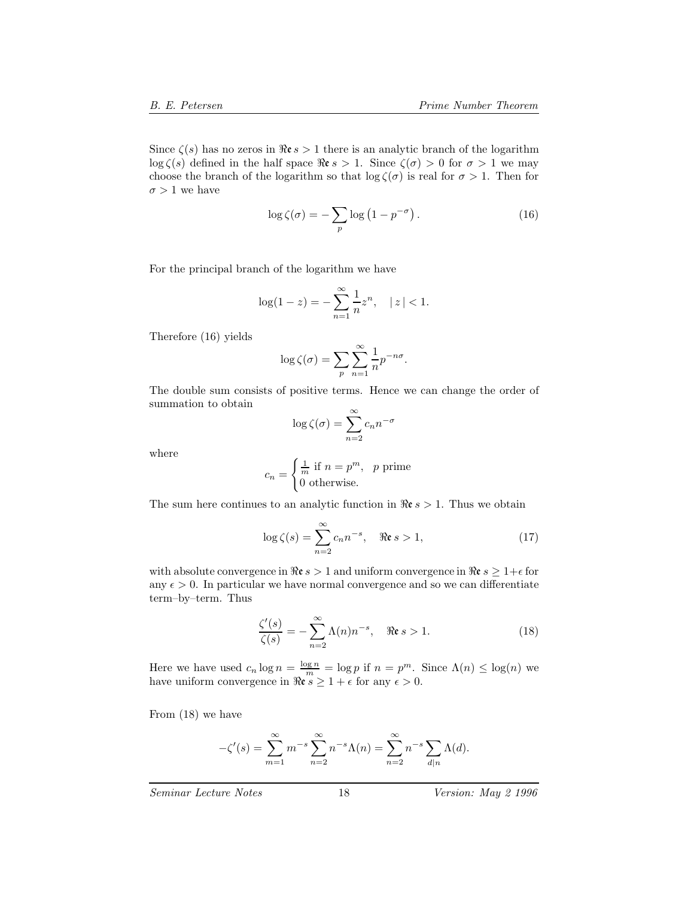Since  $\zeta(s)$  has no zeros in  $\Re \epsilon s > 1$  there is an analytic branch of the logarithm  $\log \zeta(s)$  defined in the half space  $\Re \varepsilon s > 1$ . Since  $\zeta(\sigma) > 0$  for  $\sigma > 1$  we may choose the branch of the logarithm so that  $\log \zeta(\sigma)$  is real for  $\sigma > 1$ . Then for  $\sigma > 1$  we have

$$
\log \zeta(\sigma) = -\sum_{p} \log \left(1 - p^{-\sigma}\right). \tag{16}
$$

For the principal branch of the logarithm we have

$$
\log(1 - z) = -\sum_{n=1}^{\infty} \frac{1}{n} z^n, \quad |z| < 1.
$$

Therefore (16) yields

$$
\log \zeta(\sigma) = \sum_{p} \sum_{n=1}^{\infty} \frac{1}{n} p^{-n\sigma}.
$$

The double sum consists of positive terms. Hence we can change the order of summation to obtain

$$
\log \zeta(\sigma) = \sum_{n=2}^{\infty} c_n n^{-\sigma}
$$

where

$$
c_n = \begin{cases} \frac{1}{m} \text{ if } n = p^m, & p \text{ prime} \\ 0 \text{ otherwise.} \end{cases}
$$

The sum here continues to an analytic function in  $\Re \epsilon s > 1$ . Thus we obtain

$$
\log \zeta(s) = \sum_{n=2}^{\infty} c_n n^{-s}, \quad \Re \mathfrak{e} \le s > 1,
$$
 (17)

with absolute convergence in  $\Re \epsilon s > 1$  and uniform convergence in  $\Re \epsilon s \geq 1+\epsilon$  for any  $\epsilon > 0$ . In particular we have normal convergence and so we can differentiate term–by–term. Thus

$$
\frac{\zeta'(s)}{\zeta(s)} = -\sum_{n=2}^{\infty} \Lambda(n) n^{-s}, \quad \Re \mathfrak{e} s > 1.
$$
 (18)

Here we have used  $c_n \log n = \frac{\log n}{m} = \log p$  if  $n = p^m$ . Since  $\Lambda(n) \le \log(n)$  we have uniform convergence in  $\Re \varepsilon s \geq 1 + \epsilon$  for any  $\epsilon > 0$ .

From (18) we have

$$
-\zeta'(s) = \sum_{m=1}^{\infty} m^{-s} \sum_{n=2}^{\infty} n^{-s} \Lambda(n) = \sum_{n=2}^{\infty} n^{-s} \sum_{d|n} \Lambda(d).
$$

*Seminar Lecture Notes* 18 *Version: May 2 1996*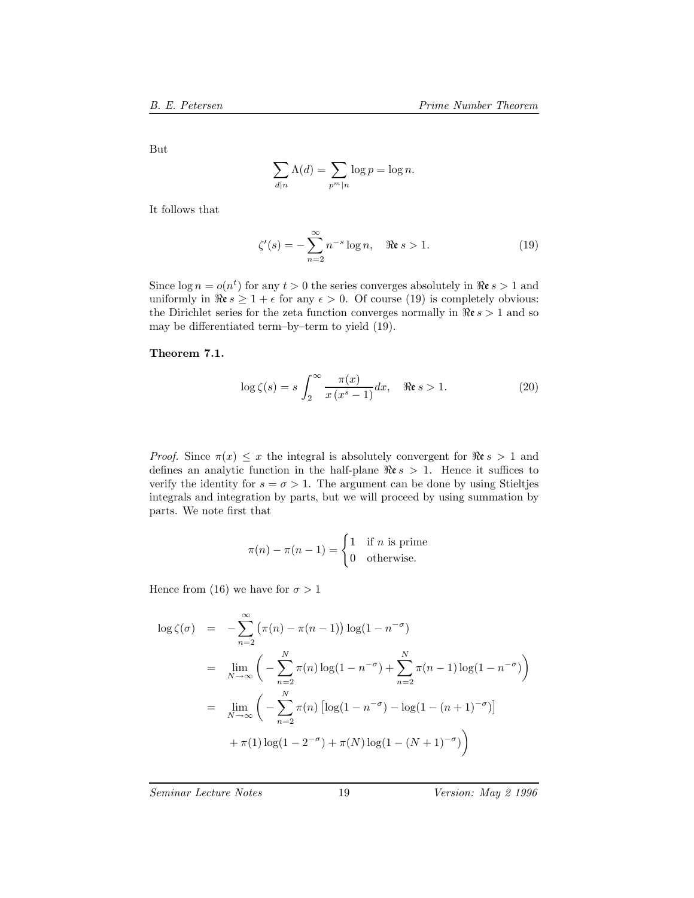But

$$
\sum_{d|n} \Lambda(d) = \sum_{p^m|n} \log p = \log n.
$$

It follows that

$$
\zeta'(s) = -\sum_{n=2}^{\infty} n^{-s} \log n, \quad \Re \mathfrak{e} s > 1.
$$
 (19)

Since  $\log n = o(n^t)$  for any  $t > 0$  the series converges absolutely in  $\Re \epsilon s > 1$  and uniformly in  $\Re \varepsilon s \geq 1 + \epsilon$  for any  $\epsilon > 0$ . Of course (19) is completely obvious: the Dirichlet series for the zeta function converges normally in  $\Re \epsilon s > 1$  and so may be differentiated term–by–term to yield (19).

#### **Theorem 7.1.**

$$
\log \zeta(s) = s \int_2^\infty \frac{\pi(x)}{x(x^s - 1)} dx, \quad \Re \mathfrak{e} s > 1.
$$
 (20)

*Proof.* Since  $\pi(x) \leq x$  the integral is absolutely convergent for  $\Re \varepsilon s > 1$  and defines an analytic function in the half-plane  $\Re \epsilon s > 1$ . Hence it suffices to verify the identity for  $s = \sigma > 1$ . The argument can be done by using Stieltjes integrals and integration by parts, but we will proceed by using summation by parts. We note first that

$$
\pi(n) - \pi(n-1) = \begin{cases} 1 & \text{if } n \text{ is prime} \\ 0 & \text{otherwise.} \end{cases}
$$

Hence from (16) we have for  $\sigma > 1$ 

$$
\log \zeta(\sigma) = -\sum_{n=2}^{\infty} (\pi(n) - \pi(n-1)) \log(1 - n^{-\sigma})
$$
  
= 
$$
\lim_{N \to \infty} \left( -\sum_{n=2}^{N} \pi(n) \log(1 - n^{-\sigma}) + \sum_{n=2}^{N} \pi(n-1) \log(1 - n^{-\sigma}) \right)
$$
  
= 
$$
\lim_{N \to \infty} \left( -\sum_{n=2}^{N} \pi(n) \left[ \log(1 - n^{-\sigma}) - \log(1 - (n+1)^{-\sigma}) \right] + \pi(1) \log(1 - 2^{-\sigma}) + \pi(N) \log(1 - (N+1)^{-\sigma}) \right)
$$

*Seminar Lecture Notes* 19 *Version: May 2 1996*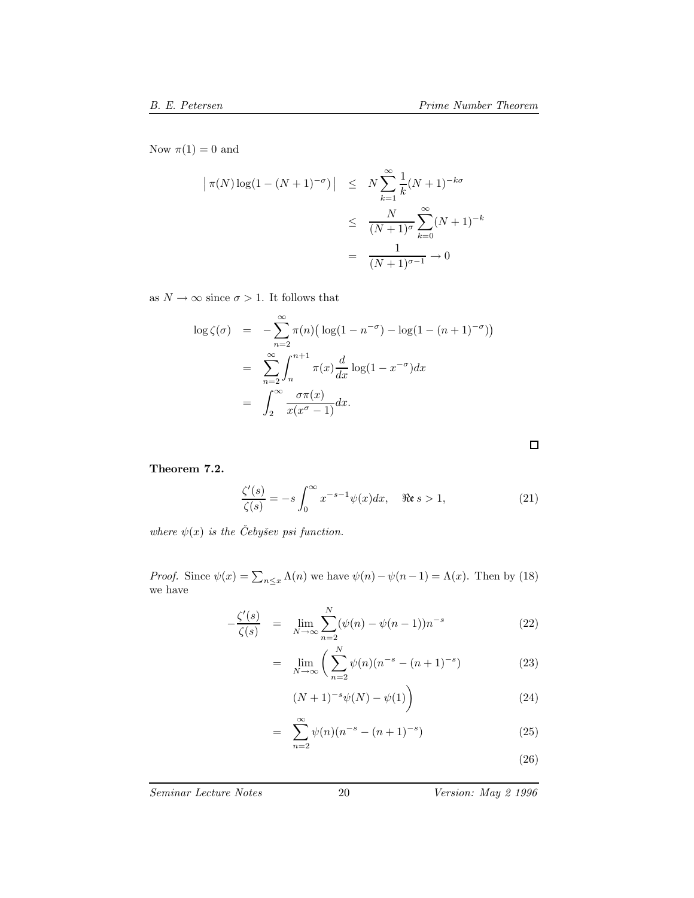Now  $\pi(1) = 0$  and

$$
|\pi(N)\log(1-(N+1)^{-\sigma})| \leq N \sum_{k=1}^{\infty} \frac{1}{k}(N+1)^{-k\sigma}
$$
  

$$
\leq \frac{N}{(N+1)^{\sigma}} \sum_{k=0}^{\infty} (N+1)^{-k}
$$
  

$$
= \frac{1}{(N+1)^{\sigma-1}} \to 0
$$

as  $N\to\infty$  since  $\sigma>1.$  It follows that

$$
\log \zeta(\sigma) = -\sum_{n=2}^{\infty} \pi(n) \left( \log(1 - n^{-\sigma}) - \log(1 - (n+1)^{-\sigma}) \right)
$$

$$
= \sum_{n=2}^{\infty} \int_{n}^{n+1} \pi(x) \frac{d}{dx} \log(1 - x^{-\sigma}) dx
$$

$$
= \int_{2}^{\infty} \frac{\sigma \pi(x)}{x(x^{\sigma} - 1)} dx.
$$

**Theorem 7.2.**

$$
\frac{\zeta'(s)}{\zeta(s)} = -s \int_0^\infty x^{-s-1} \psi(x) dx, \quad \Re \mathfrak{e} \le 1,
$$
\n(21)

*where*  $\psi(x)$  *is the Cebysev psi function.* 

*Proof.* Since  $\psi(x) = \sum_{n \leq x} \Lambda(n)$  we have  $\psi(n) - \psi(n-1) = \Lambda(x)$ . Then by (18) we have

$$
-\frac{\zeta'(s)}{\zeta(s)} = \lim_{N \to \infty} \sum_{n=2}^{N} (\psi(n) - \psi(n-1))n^{-s}
$$
 (22)

$$
= \lim_{N \to \infty} \left( \sum_{n=2}^{N} \psi(n) (n^{-s} - (n+1)^{-s}) \right) \tag{23}
$$

$$
(N+1)^{-s}\psi(N) - \psi(1)\bigg)
$$
 (24)

$$
= \sum_{n=2}^{\infty} \psi(n)(n^{-s} - (n+1)^{-s}) \tag{25}
$$

(26)

 $\Box$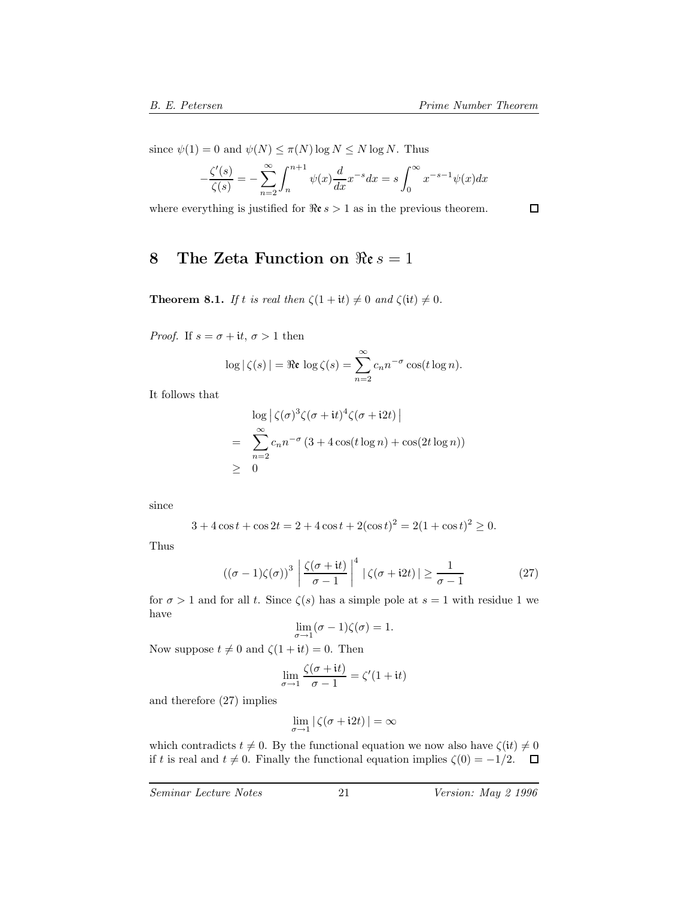since  $\psi(1) = 0$  and  $\psi(N) \leq \pi(N) \log N \leq N \log N$ . Thus

$$
-\frac{\zeta'(s)}{\zeta(s)} = -\sum_{n=2}^{\infty} \int_{n}^{n+1} \psi(x) \frac{d}{dx} x^{-s} dx = s \int_{0}^{\infty} x^{-s-1} \psi(x) dx
$$

where everything is justified for  $\Re \epsilon s > 1$  as in the previous theorem.

 $\Box$ 

# **8** The Zeta Function on  $\Re$ **e**  $s = 1$

**Theorem 8.1.** *If* t *is real then*  $\zeta(1 + it) \neq 0$  *and*  $\zeta(it) \neq 0$ *.* 

*Proof.* If  $s = \sigma + it, \sigma > 1$  then

$$
\log|\zeta(s)| = \Re \mathfrak{e} \log \zeta(s) = \sum_{n=2}^{\infty} c_n n^{-\sigma} \cos(t \log n).
$$

It follows that

$$
\log \left| \zeta(\sigma)^3 \zeta(\sigma + it)^4 \zeta(\sigma + i2t) \right|
$$
  
= 
$$
\sum_{n=2}^{\infty} c_n n^{-\sigma} (3 + 4 \cos(t \log n) + \cos(2t \log n))
$$
  

$$
\geq 0
$$

since

$$
3 + 4\cos t + \cos 2t = 2 + 4\cos t + 2(\cos t)^2 = 2(1 + \cos t)^2 \ge 0.
$$

Thus

$$
((\sigma - 1)\zeta(\sigma))^3 \left| \frac{\zeta(\sigma + it)}{\sigma - 1} \right|^4 \left| \zeta(\sigma + i2t) \right| \ge \frac{1}{\sigma - 1}
$$
 (27)

for  $\sigma > 1$  and for all t. Since  $\zeta(s)$  has a simple pole at  $s = 1$  with residue 1 we have

$$
\lim_{\sigma \to 1} (\sigma - 1)\zeta(\sigma) = 1.
$$

Now suppose  $t \neq 0$  and  $\zeta(1 + it) = 0$ . Then

$$
\lim_{\sigma \to 1} \frac{\zeta(\sigma + it)}{\sigma - 1} = \zeta'(1 + it)
$$

and therefore (27) implies

$$
\lim_{\sigma \to 1} |\zeta(\sigma + i2t)| = \infty
$$

which contradicts  $t \neq 0$ . By the functional equation we now also have  $\zeta(it) \neq 0$ if t is real and  $t \neq 0$ . Finally the functional equation implies  $\zeta(0) = -1/2$ .  $\Box$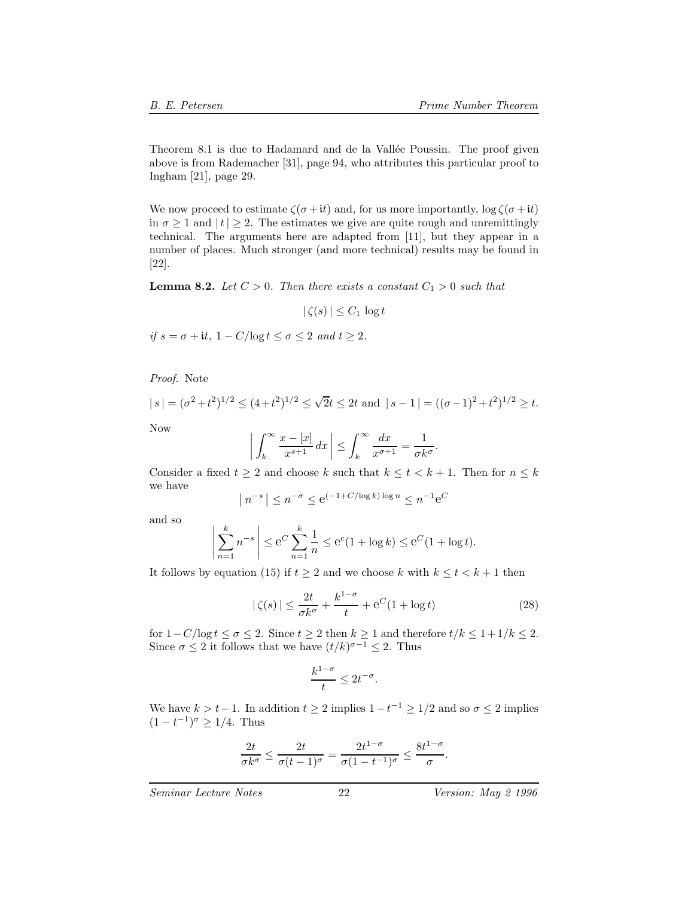Theorem 8.1 is due to Hadamard and de la Vallée Poussin. The proof given above is from Rademacher [31], page 94, who attributes this particular proof to Ingham [21], page 29.

We now proceed to estimate  $\zeta(\sigma + it)$  and, for us more importantly,  $\log \zeta(\sigma + it)$ in  $\sigma \geq 1$  and  $|t| \geq 2$ . The estimates we give are quite rough and unremittingly technical. The arguments here are adapted from [11], but they appear in a number of places. Much stronger (and more technical) results may be found in [22].

**Lemma 8.2.** *Let*  $C > 0$ *. Then there exists a constant*  $C_1 > 0$  *such that* 

$$
|\zeta(s)| \leq C_1 \log t
$$

*if*  $s = \sigma + it$ ,  $1 - C/\log t \le \sigma \le 2$  *and*  $t \ge 2$ *.* 

*Proof.* Note

$$
|s| = (\sigma^2 + t^2)^{1/2} \le (4 + t^2)^{1/2} \le \sqrt{2}t \le 2t
$$
 and  $|s - 1| = ((\sigma - 1)^2 + t^2)^{1/2} \ge t$ .

Now

$$
\left| \int_{k}^{\infty} \frac{x - [x]}{x^{s+1}} dx \right| \leq \int_{k}^{\infty} \frac{dx}{x^{\sigma+1}} = \frac{1}{\sigma k^{\sigma}}.
$$

Consider a fixed  $t \geq 2$  and choose k such that  $k \leq t < k + 1$ . Then for  $n \leq k$ we have

$$
|n^{-s}| \le n^{-\sigma} \le e^{(-1+C/\log k)\log n} \le n^{-1}e^C
$$

and so

$$
\left| \sum_{n=1}^{k} n^{-s} \right| \le e^C \sum_{n=1}^{k} \frac{1}{n} \le e^c (1 + \log k) \le e^C (1 + \log t).
$$

It follows by equation (15) if  $t \geq 2$  and we choose k with  $k \leq t < k + 1$  then

$$
|\zeta(s)| \le \frac{2t}{\sigma k^{\sigma}} + \frac{k^{1-\sigma}}{t} + e^C(1 + \log t)
$$
 (28)

for  $1-C/\log t \leq \sigma \leq 2$ . Since  $t \geq 2$  then  $k \geq 1$  and therefore  $t/k \leq 1+1/k \leq 2$ . Since  $\sigma \leq 2$  it follows that we have  $(t/k)^{\sigma-1} \leq 2$ . Thus

$$
\frac{k^{1-\sigma}}{t} \le 2t^{-\sigma}.
$$

We have  $k > t-1$ . In addition  $t \geq 2$  implies  $1-t^{-1} \geq 1/2$  and so  $\sigma \leq 2$  implies  $(1 - t^{-1})^{\sigma} \ge 1/4$ . Thus

$$
\frac{2t}{\sigma k^{\sigma}} \le \frac{2t}{\sigma (t-1)^{\sigma}} = \frac{2t^{1-\sigma}}{\sigma (1-t^{-1})^{\sigma}} \le \frac{8t^{1-\sigma}}{\sigma}.
$$

*Seminar Lecture Notes* 22 *Version: May 2 1996*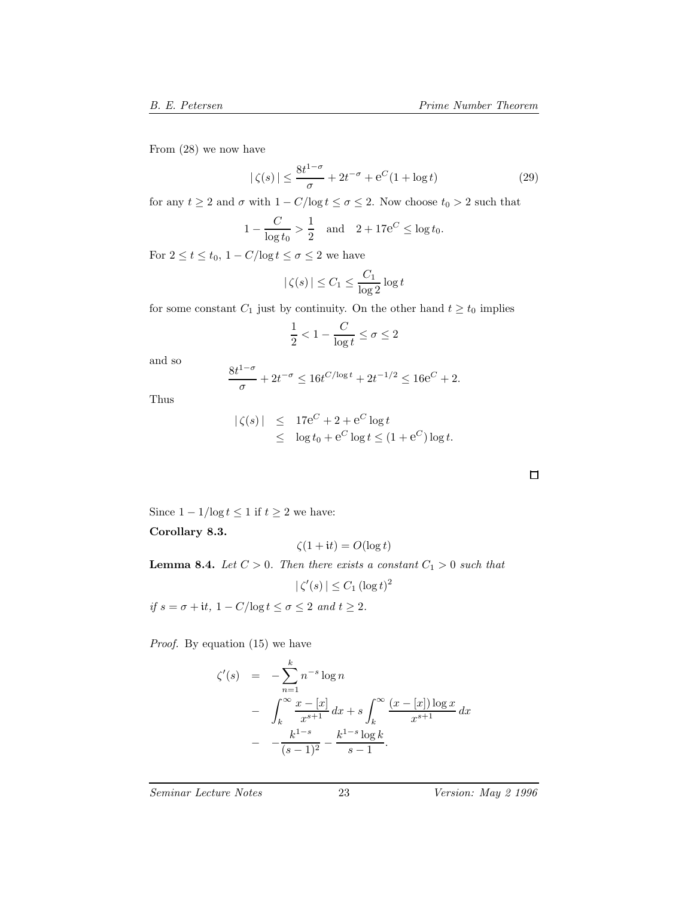From (28) we now have

$$
|\zeta(s)| \le \frac{8t^{1-\sigma}}{\sigma} + 2t^{-\sigma} + e^C(1 + \log t)
$$
 (29)

for any  $t\geq 2$  and  $\sigma$  with  $1-C/\text{log}\,t\leq \sigma\leq 2.$  Now choose  $t_0>2$  such that

$$
1 - \frac{C}{\log t_0} > \frac{1}{2}
$$
 and  $2 + 17e^C \le \log t_0$ .

For  $2 \le t \le t_0$ ,  $1 - C/\log t \le \sigma \le 2$  we have

$$
|\zeta(s)| \le C_1 \le \frac{C_1}{\log 2} \log t
$$

for some constant  $C_1$  just by continuity. On the other hand  $t \geq t_0$  implies

$$
\frac{1}{2}<1-\frac{C}{\log t}\leq \sigma\leq 2
$$

and so

$$
\frac{8t^{1-\sigma}}{\sigma} + 2t^{-\sigma} \le 16t^{C/\log t} + 2t^{-1/2} \le 16e^{C} + 2.
$$

Thus

$$
\begin{array}{rcl} |\zeta(s)| & \leq & 17\mathrm{e}^C + 2 + \mathrm{e}^C \log t \\ & \leq & \log t_0 + \mathrm{e}^C \log t \leq (1 + \mathrm{e}^C) \log t. \end{array}
$$

Since  $1 - 1/\log t \leq 1$  if  $t \geq 2$  we have:

**Corollary 8.3.**

$$
\zeta(1+{\rm i}t) = O(\log t)
$$

**Lemma 8.4.** *Let*  $C > 0$ *. Then there exists a constant*  $C_1 > 0$  *such that* 

$$
|\zeta'(s)| \le C_1 (\log t)^2
$$

*if*  $s = \sigma + it$ ,  $1 - C/\log t \le \sigma \le 2$  *and*  $t \ge 2$ *.* 

*Proof.* By equation (15) we have

$$
\zeta'(s) = -\sum_{n=1}^{k} n^{-s} \log n
$$
  
- 
$$
\int_{k}^{\infty} \frac{x - [x]}{x^{s+1}} dx + s \int_{k}^{\infty} \frac{(x - [x]) \log x}{x^{s+1}} dx
$$
  
- 
$$
- \frac{k^{1-s}}{(s-1)^{2}} - \frac{k^{1-s} \log k}{s-1}.
$$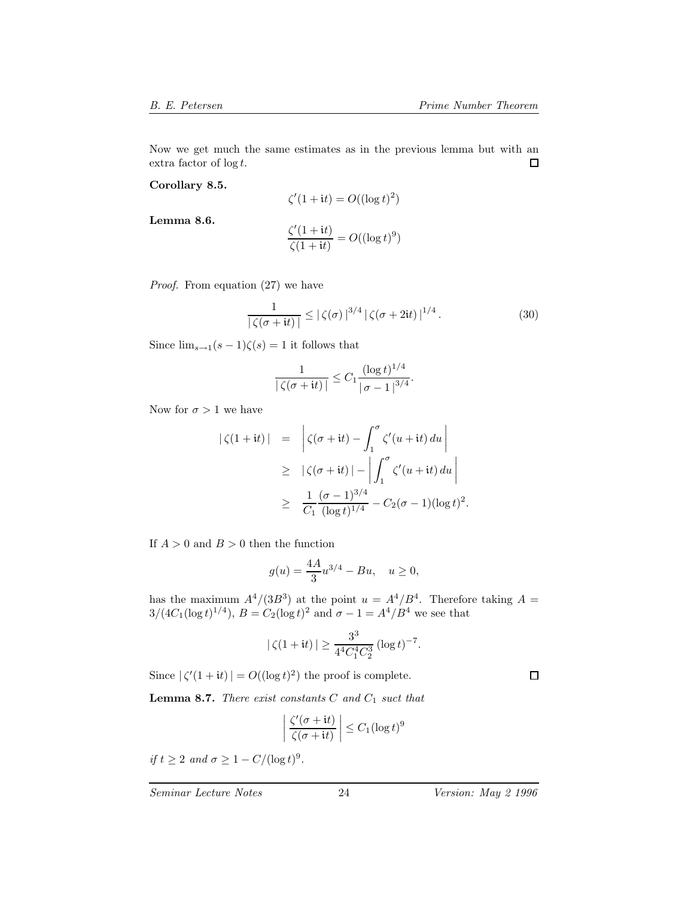Now we get much the same estimates as in the previous lemma but with an  $\Box$ extra factor of  $\log t$ .

**Corollary 8.5.**

$$
\zeta'(1+{\rm i}t) = O((\log t)^2)
$$

**Lemma 8.6.**

$$
\frac{\zeta'(1+it)}{\zeta(1+it)} = O((\log t)^9)
$$

*Proof.* From equation (27) we have

$$
\frac{1}{|\zeta(\sigma+it)|} \leq |\zeta(\sigma)|^{3/4} |\zeta(\sigma+2it)|^{1/4}.
$$
 (30)

Since  $\lim_{s\to 1}(s-1)\zeta(s)=1$  it follows that

$$
\frac{1}{|\zeta(\sigma + it)|} \le C_1 \frac{(\log t)^{1/4}}{|\sigma - 1|^{3/4}}.
$$

Now for  $\sigma > 1$  we have

$$
\begin{array}{rcl} \left| \zeta(1+it) \right| & = & \left| \zeta(\sigma+it) - \int_1^\sigma \zeta'(u+it) \, du \right| \\ \\ & \geq & \left| \zeta(\sigma+it) \right| - \left| \int_1^\sigma \zeta'(u+it) \, du \right| \\ \\ & \geq & \frac{1}{C_1} \frac{(\sigma-1)^{3/4}}{(\log t)^{1/4}} - C_2(\sigma-1)(\log t)^2. \end{array}
$$

If  $A > 0$  and  $B > 0$  then the function

$$
g(u) = \frac{4A}{3}u^{3/4} - Bu, \quad u \ge 0,
$$

has the maximum  $A^4/(3B^3)$  at the point  $u = A^4/B^4$ . Therefore taking  $A =$  $3/(4C_1(\log t)^{1/4}), B = C_2(\log t)^2$  and  $\sigma - 1 = A^4/B^4$  we see that

$$
|\zeta(1+it)| \ge \frac{3^3}{4^4C_1^4C_2^3} (\log t)^{-7}.
$$

Since  $|\zeta'(1+it)| = O((\log t)^2)$  the proof is complete.

**Lemma 8.7.** *There exist constants* C *and*  $C_1$  *suct that* 

$$
\left| \frac{\zeta'(\sigma + it)}{\zeta(\sigma + it)} \right| \le C_1 (\log t)^9
$$

*if*  $t \geq 2$  *and*  $\sigma \geq 1 - C/(\log t)^9$ .

*Seminar Lecture Notes* 24 *Version: May 2 1996*

 $\Box$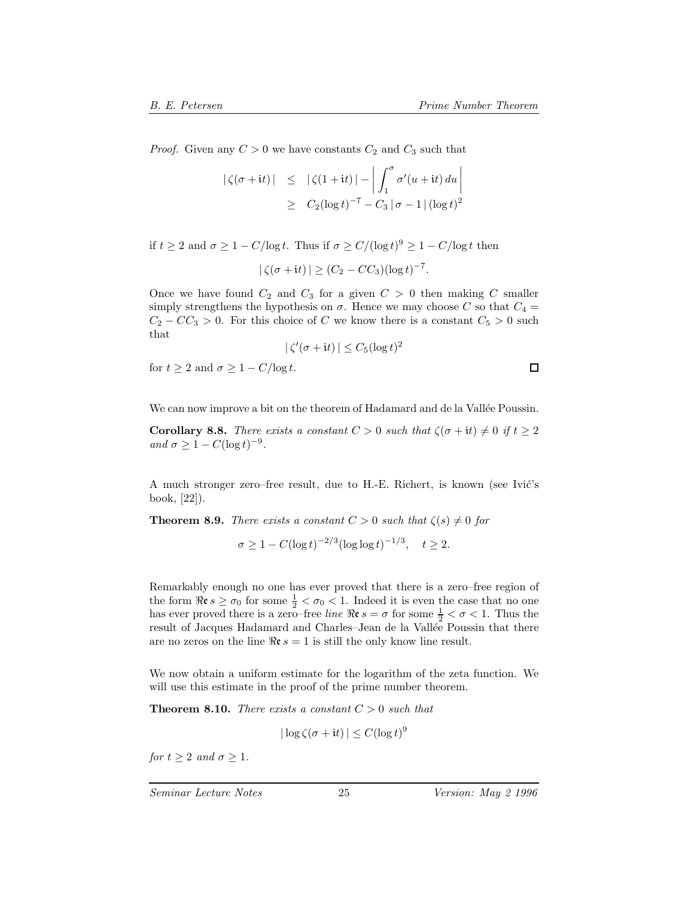□

*Proof.* Given any  $C > 0$  we have constants  $C_2$  and  $C_3$  such that

$$
\begin{array}{rcl} \left| \zeta(\sigma+{\rm i}t) \right| & \leq & \left| \zeta(1+{\rm i}t) \right| - \left| \int_1^\sigma \sigma'(u+{\rm i}t) \, du \right| \\ & \geq & C_2(\log t)^{-7} - C_3 \left| \sigma - 1 \right| (\log t)^2 \end{array}
$$

if  $t \geq 2$  and  $\sigma \geq 1 - C/\log t$ . Thus if  $\sigma \geq C/(\log t)^9 \geq 1 - C/\log t$  then

$$
|\zeta(\sigma+{\rm i}t)| \geq (C_2 - CC_3)(\log t)^{-7}.
$$

Once we have found  $C_2$  and  $C_3$  for a given  $C > 0$  then making C smaller simply strengthens the hypothesis on  $\sigma$ . Hence we may choose C so that  $C_4$  =  $C_2 - CC_3 > 0$ . For this choice of C we know there is a constant  $C_5 > 0$  such that

$$
|\zeta'(\sigma + it)| \leq C_5 (\log t)^2
$$

for  $t \geq 2$  and  $\sigma \geq 1 - C/\log t$ .

We can now improve a bit on the theorem of Hadamard and de la Vallée Poussin.

**Corollary 8.8.** *There exists a constant*  $C > 0$  *such that*  $\zeta(\sigma + it) \neq 0$  *if*  $t \geq 2$ *and*  $\sigma \geq 1 - C(\log t)^{-9}$ .

A much stronger zero–free result, due to H.-E. Richert, is known (see Ivić's book, [22]).

**Theorem 8.9.** *There exists a constant*  $C > 0$  *such that*  $\zeta(s) \neq 0$  *for* 

$$
\sigma \ge 1 - C(\log t)^{-2/3} (\log \log t)^{-1/3}, \quad t \ge 2.
$$

Remarkably enough no one has ever proved that there is a zero–free region of the form  $\Re \epsilon s \geq \sigma_0$  for some  $\frac{1}{2} < \sigma_0 < 1$ . Indeed it is even the case that no one<br>has ever proved there is a zero-free line  $\Re \epsilon s - \sigma$  for some  $\frac{1}{2} < \sigma < 1$ . Thus the has ever proved there is a zero–free *line*  $\Re \mathfrak{e} s = \sigma$  for some  $\frac{1}{2} < \sigma < 1$ . Thus the result of Jacques Hadamard and Charles–Jean de la Vallée Poussin that there result of Jacques Hadamard and Charles–Jean de la Vallée Poussin that there are no zeros on the line  $\Re \varepsilon s = 1$  is still the only know line result.

We now obtain a uniform estimate for the logarithm of the zeta function. We will use this estimate in the proof of the prime number theorem.

**Theorem 8.10.** *There exists a constant*  $C > 0$  *such that* 

$$
|\log \zeta(\sigma + it)| \le C(\log t)^9
$$

*for*  $t \geq 2$  *and*  $\sigma \geq 1$ *.*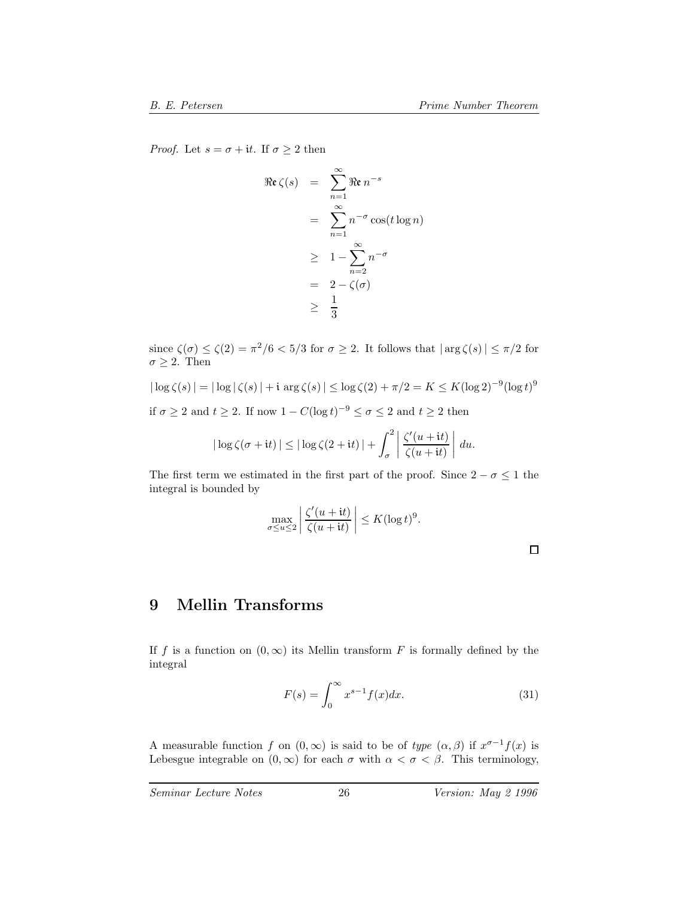*Proof.* Let  $s = \sigma + it$ . If  $\sigma \geq 2$  then

$$
\Re\epsilon\zeta(s) = \sum_{n=1}^{\infty} \Re\epsilon n^{-s}
$$

$$
= \sum_{n=1}^{\infty} n^{-\sigma}\cos(t\log n)
$$

$$
\geq 1 - \sum_{n=2}^{\infty} n^{-\sigma}
$$

$$
= 2 - \zeta(\sigma)
$$

$$
\geq \frac{1}{3}
$$

since  $\zeta(\sigma) \leq \zeta(2) = \pi^2/6 < 5/3$  for  $\sigma \geq 2$ . It follows that  $|\arg \zeta(s)| \leq \pi/2$  for  $\sigma \geq 2$ . Then

$$
|\log \zeta(s)| = |\log |\zeta(s)| + i \arg \zeta(s)| \le \log \zeta(2) + \pi/2 = K \le K(\log 2)^{-9}(\log t)^9
$$

if  $\sigma \geq 2$  and  $t \geq 2$ . If now  $1 - C(\log t)^{-9} \leq \sigma \leq 2$  and  $t \geq 2$  then

$$
|\log \zeta(\sigma+{\rm i}t)| \leq |\log \zeta(2+{\rm i}t)| + \int_{\sigma}^{2} \left| \frac{\zeta'(u+{\rm i}t)}{\zeta(u+{\rm i}t)} \right| du.
$$

The first term we estimated in the first part of the proof. Since  $2 - \sigma \leq 1$  the integral is bounded by

$$
\max_{\sigma \le u \le 2} \left| \frac{\zeta'(u+it)}{\zeta(u+it)} \right| \le K(\log t)^9.
$$

## **9 Mellin Transforms**

If f is a function on  $(0, \infty)$  its Mellin transform F is formally defined by the integral

$$
F(s) = \int_0^\infty x^{s-1} f(x) dx.
$$
 (31)

A measurable function f on  $(0, \infty)$  is said to be of *type*  $(\alpha, \beta)$  if  $x^{\sigma-1}f(x)$  is Lebesgue integrable on  $(0, \infty)$  for each  $\sigma$  with  $\alpha < \sigma < \beta$ . This terminology,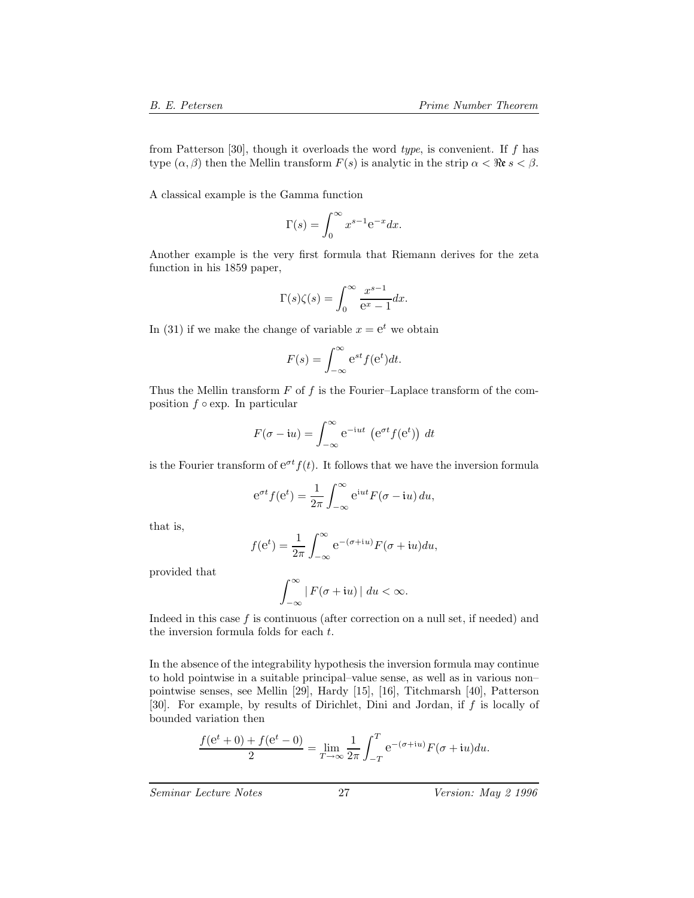from Patterson [30], though it overloads the word *type*, is convenient. If f has type  $(\alpha, \beta)$  then the Mellin transform  $F(s)$  is analytic in the strip  $\alpha < \Re \epsilon s < \beta$ .

A classical example is the Gamma function

$$
\Gamma(s) = \int_0^\infty x^{s-1} e^{-x} dx.
$$

Another example is the very first formula that Riemann derives for the zeta function in his 1859 paper,

$$
\Gamma(s)\zeta(s) = \int_0^\infty \frac{x^{s-1}}{e^x - 1} dx.
$$

In (31) if we make the change of variable  $x = e^t$  we obtain

$$
F(s) = \int_{-\infty}^{\infty} e^{st} f(e^t) dt.
$$

Thus the Mellin transform  $F$  of  $f$  is the Fourier–Laplace transform of the composition  $f \circ \exp$ . In particular

$$
F(\sigma - iu) = \int_{-\infty}^{\infty} e^{-iut} \left( e^{\sigma t} f(e^t) \right) dt
$$

is the Fourier transform of  $e^{\sigma t} f(t)$ . It follows that we have the inversion formula

$$
e^{\sigma t} f(e^t) = \frac{1}{2\pi} \int_{-\infty}^{\infty} e^{iut} F(\sigma - iu) du,
$$

that is,

$$
f(e^t) = \frac{1}{2\pi} \int_{-\infty}^{\infty} e^{-(\sigma + iu)} F(\sigma + iu) du,
$$

provided that

$$
\int_{-\infty}^{\infty} |F(\sigma + iu)| \ du < \infty.
$$

Indeed in this case  $f$  is continuous (after correction on a null set, if needed) and the inversion formula folds for each t.

In the absence of the integrability hypothesis the inversion formula may continue to hold pointwise in a suitable principal–value sense, as well as in various non– pointwise senses, see Mellin [29], Hardy [15], [16], Titchmarsh [40], Patterson [30]. For example, by results of Dirichlet, Dini and Jordan, if f is locally of bounded variation then

$$
\frac{f(e^{t} + 0) + f(e^{t} - 0)}{2} = \lim_{T \to \infty} \frac{1}{2\pi} \int_{-T}^{T} e^{-(\sigma + iu)} F(\sigma + iu) du.
$$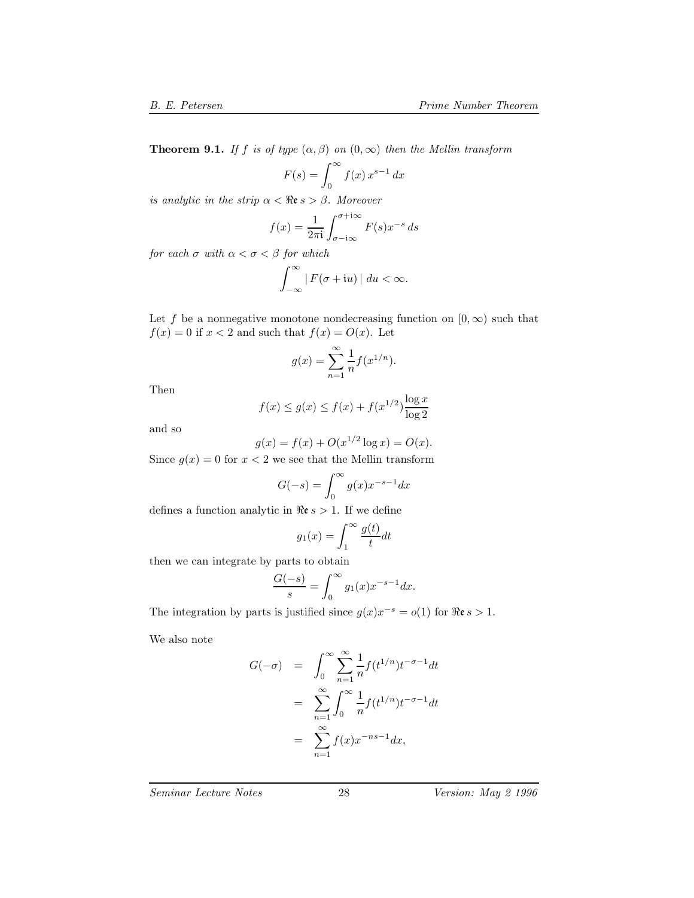**Theorem 9.1.** *If* f *is of type*  $(\alpha, \beta)$  *on*  $(0, \infty)$  *then the Mellin transform* 

$$
F(s) = \int_0^\infty f(x) x^{s-1} dx
$$

*is analytic in the strip*  $\alpha < \Re$ **e**  $s > \beta$ *. Moreover* 

$$
f(x) = \frac{1}{2\pi i} \int_{\sigma - i\infty}^{\sigma + i\infty} F(s) x^{-s} ds
$$

*for each*  $\sigma$  *with*  $\alpha < \sigma < \beta$  *for which* 

$$
\int_{-\infty}^{\infty} |F(\sigma + iu)| \ du < \infty.
$$

Let f be a nonnegative monotone nondecreasing function on  $[0, \infty)$  such that  $f(x) = 0$  if  $x < 2$  and such that  $f(x) = O(x)$ . Let

$$
g(x) = \sum_{n=1}^{\infty} \frac{1}{n} f(x^{1/n}).
$$

Then

$$
f(x) \le g(x) \le f(x) + f(x^{1/2}) \frac{\log x}{\log 2}
$$

and so

$$
g(x) = f(x) + O(x^{1/2} \log x) = O(x).
$$

Since  $g(x) = 0$  for  $x < 2$  we see that the Mellin transform

$$
G(-s) = \int_0^\infty g(x)x^{-s-1} dx
$$

defines a function analytic in  $\Re \varepsilon s > 1$ . If we define

$$
g_1(x) = \int_1^{\infty} \frac{g(t)}{t} dt
$$

1 then we can integrate by parts to obtain

$$
\frac{G(-s)}{s} = \int_0^\infty g_1(x) x^{-s-1} dx.
$$

The integration by parts is justified since  $g(x)x^{-s} = o(1)$  for  $\Re \varepsilon s > 1$ .

We also note

$$
G(-\sigma) = \int_0^\infty \sum_{n=1}^\infty \frac{1}{n} f(t^{1/n}) t^{-\sigma - 1} dt
$$
  

$$
= \sum_{n=1}^\infty \int_0^\infty \frac{1}{n} f(t^{1/n}) t^{-\sigma - 1} dt
$$
  

$$
= \sum_{n=1}^\infty f(x) x^{-ns-1} dx,
$$

*Seminar Lecture Notes* 28 *Version: May 2 1996*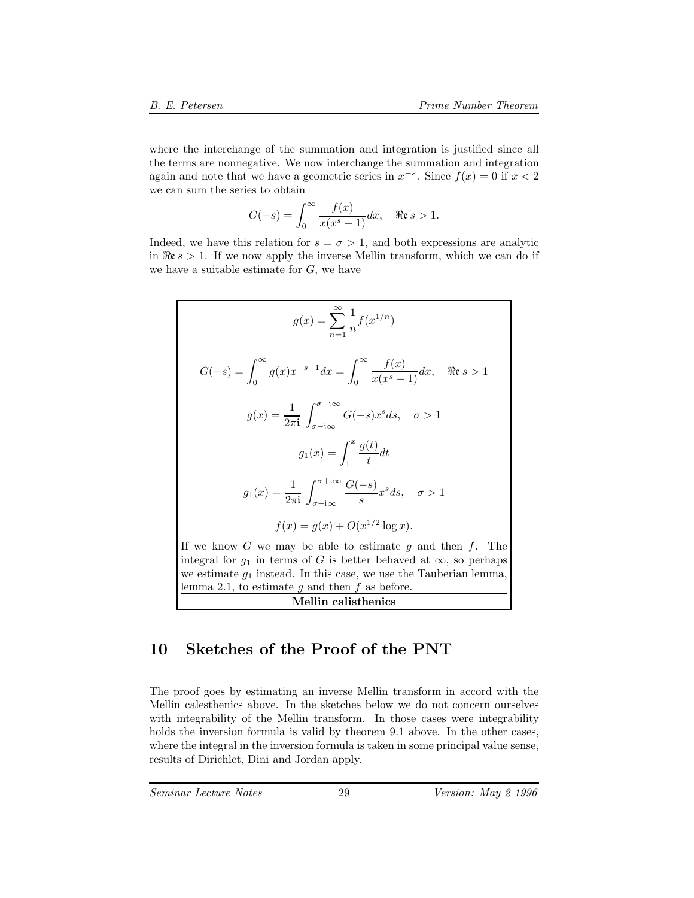where the interchange of the summation and integration is justified since all the terms are nonnegative. We now interchange the summation and integration again and note that we have a geometric series in  $x^{-s}$ . Since  $f(x) = 0$  if  $x < 2$ we can sum the series to obtain

$$
G(-s) = \int_0^\infty \frac{f(x)}{x(x^s - 1)} dx, \quad \Re \mathfrak{e} s > 1.
$$

Indeed, we have this relation for  $s = \sigma > 1$ , and both expressions are analytic in  $\Re \epsilon s > 1$ . If we now apply the inverse Mellin transform, which we can do if we have a suitable estimate for  $G$ , we have

$$
g(x) = \sum_{n=1}^{\infty} \frac{1}{n} f(x^{1/n})
$$
  
\n
$$
G(-s) = \int_0^{\infty} g(x)x^{-s-1} dx = \int_0^{\infty} \frac{f(x)}{x(x^s - 1)} dx, \quad \Re \epsilon s > 1
$$
  
\n
$$
g(x) = \frac{1}{2\pi i} \int_{\sigma - i\infty}^{\sigma + i\infty} G(-s)x^s ds, \quad \sigma > 1
$$
  
\n
$$
g_1(x) = \int_1^x \frac{g(t)}{t} dt
$$
  
\n
$$
g_1(x) = \frac{1}{2\pi i} \int_{\sigma - i\infty}^{\sigma + i\infty} \frac{G(-s)}{s} x^s ds, \quad \sigma > 1
$$
  
\n
$$
f(x) = g(x) + O(x^{1/2} \log x).
$$
  
\nIf we know  $G$  we may be able to estimate  $g$  and then  $f$ . The integral for  $g_1$  in terms of  $G$  is better behaved at  $\infty$ , so perhaps we estimate  $g_1$  instead. In this case, we use the Tauberian lemma, lemma 2.1, to estimate  $g$  and then  $f$  as before.

**Mellin calisthenics**

## **10 Sketches of the Proof of the PNT**

The proof goes by estimating an inverse Mellin transform in accord with the Mellin calesthenics above. In the sketches below we do not concern ourselves with integrability of the Mellin transform. In those cases were integrability holds the inversion formula is valid by theorem 9.1 above. In the other cases, where the integral in the inversion formula is taken in some principal value sense, results of Dirichlet, Dini and Jordan apply.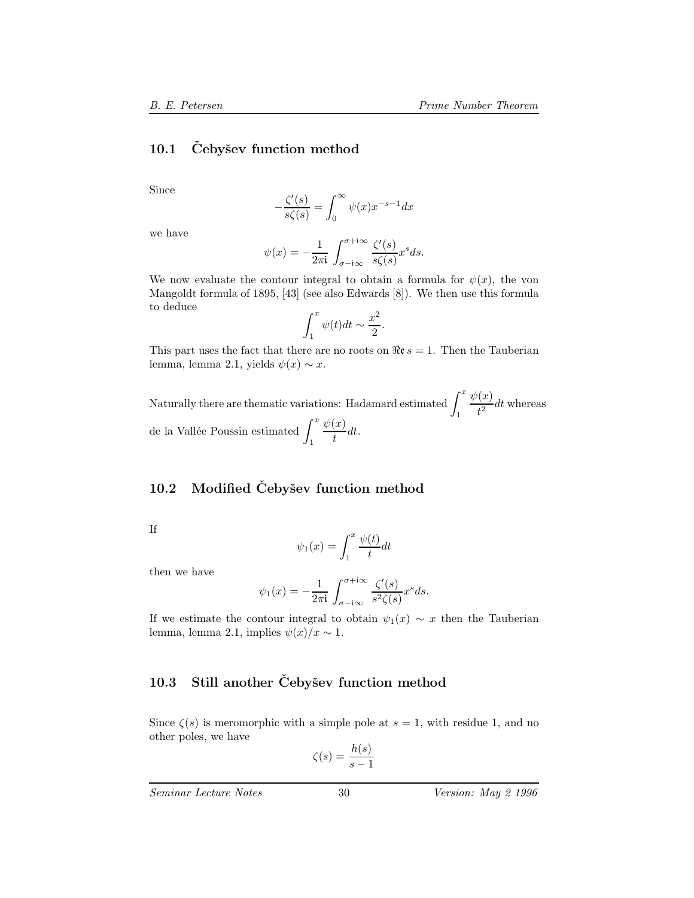### **10.1 Cebyˇ ˇ sev function method**

Since

$$
-\frac{\zeta'(s)}{s\zeta(s)} = \int_0^\infty \psi(x)x^{-s-1}dx
$$

we have

$$
\psi(x) = -\frac{1}{2\pi i} \int_{\sigma - i\infty}^{\sigma + i\infty} \frac{\zeta'(s)}{s\zeta(s)} x^s ds.
$$

We now evaluate the contour integral to obtain a formula for  $\psi(x)$ , the von Mangoldt formula of 1895, [43] (see also Edwards [8]). We then use this formula to deduce

$$
\int_1^x \psi(t)dt \sim \frac{x^2}{2}.
$$

This part uses the fact that there are no roots on  $\Re \epsilon s = 1$ . Then the Tauberian lemma, lemma 2.1, yields  $\psi(x) \sim x$ .

Naturally there are thematic variations: Hadamard estimated  $\int^x$  $\frac{\psi(x)}{t^2}$ dt whereas de la Vallée Poussin estimated  $\int^x \frac{\psi(x)}{dx}$  $\int_{t}^{(w)} dt$ .

#### **10.2 Modified Cebyˇ ˇ sev function method**

If

$$
\psi_1(x) = \int_1^x \frac{\psi(t)}{t} dt
$$

then we have

$$
\psi_1(x) = -\frac{1}{2\pi i} \int_{\sigma - i\infty}^{\sigma + i\infty} \frac{\zeta'(s)}{s^2 \zeta(s)} x^s ds.
$$

If we estimate the contour integral to obtain  $\psi_1(x) \sim x$  then the Tauberian lemma, lemma 2.1, implies  $\psi(x)/x \sim 1$ .

## 10.3 Still another Čebyšev function method

Since  $\zeta(s)$  is meromorphic with a simple pole at  $s = 1$ , with residue 1, and no other poles, we have

$$
\zeta(s) = \frac{h(s)}{s - 1}
$$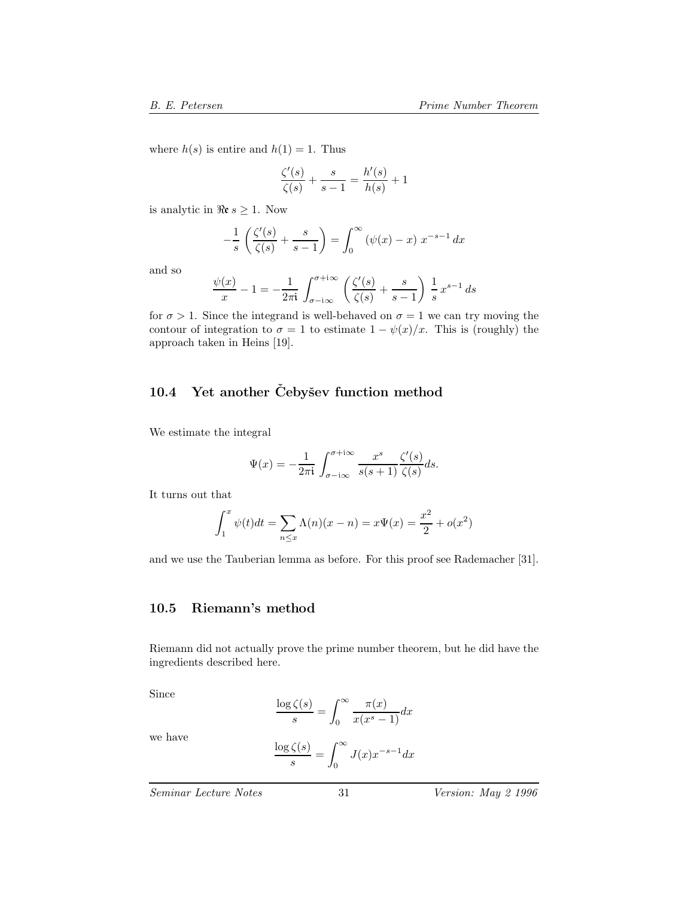where  $h(s)$  is entire and  $h(1) = 1$ . Thus

$$
\frac{\zeta'(s)}{\zeta(s)} + \frac{s}{s-1} = \frac{h'(s)}{h(s)} + 1
$$

is analytic in  $\Re \varepsilon s \geq 1$ . Now

$$
-\frac{1}{s}\left(\frac{\zeta'(s)}{\zeta(s)} + \frac{s}{s-1}\right) = \int_0^\infty \left(\psi(x) - x\right) x^{-s-1} dx
$$

and so

$$
\frac{\psi(x)}{x} - 1 = -\frac{1}{2\pi i} \int_{\sigma - i\infty}^{\sigma + i\infty} \left( \frac{\zeta'(s)}{\zeta(s)} + \frac{s}{s - 1} \right) \frac{1}{s} x^{s - 1} ds
$$

for  $\sigma > 1$ . Since the integrand is well-behaved on  $\sigma = 1$  we can try moving the contour of integration to  $\sigma = 1$  to estimate  $1 - \psi(x)/x$ . This is (roughly) the approach taken in Heins [19].

## 10.4 Yet another Čebyšev function method

We estimate the integral

$$
\Psi(x) = -\frac{1}{2\pi i} \int_{\sigma - i\infty}^{\sigma + i\infty} \frac{x^s}{s(s+1)} \frac{\zeta'(s)}{\zeta(s)} ds.
$$

It turns out that

$$
\int_{1}^{x} \psi(t)dt = \sum_{n \le x} \Lambda(n)(x - n) = x\Psi(x) = \frac{x^2}{2} + o(x^2)
$$

and we use the Tauberian lemma as before. For this proof see Rademacher [31].

#### **10.5 Riemann's method**

Riemann did not actually prove the prime number theorem, but he did have the ingredients described here.

Since

$$
\frac{\log \zeta(s)}{s} = \int_0^\infty \frac{\pi(x)}{x(x^s - 1)} dx
$$

we have

$$
\frac{\log \zeta(s)}{s} = \int_0^\infty J(x) x^{-s-1} dx
$$

*Seminar Lecture Notes* 31 *Version: May 2 1996*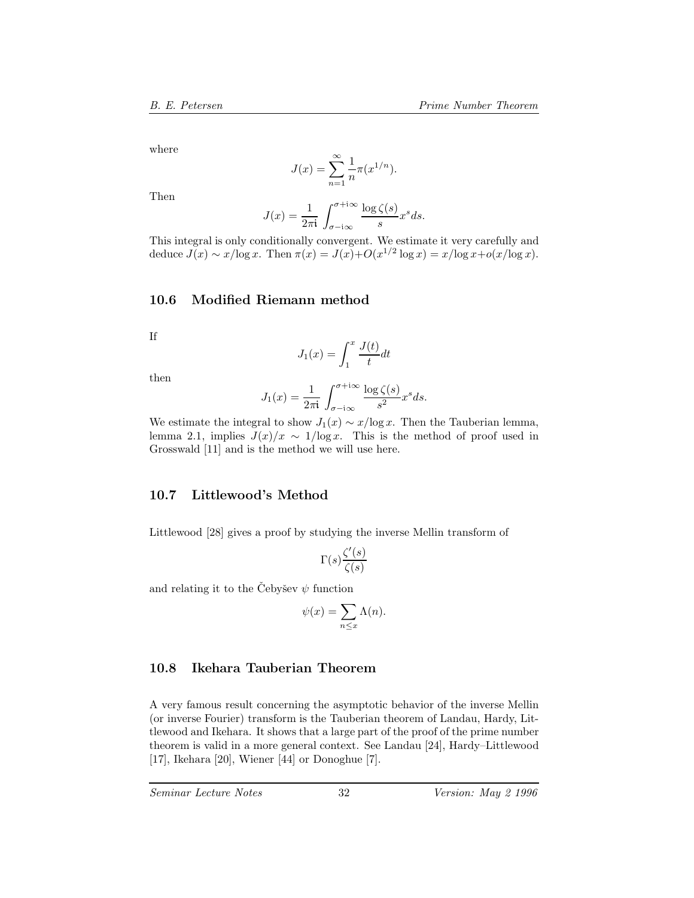where

$$
J(x) = \sum_{n=1}^{\infty} \frac{1}{n} \pi(x^{1/n}).
$$

Then

$$
J(x) = \frac{1}{2\pi i} \int_{\sigma - i\infty}^{\sigma + i\infty} \frac{\log \zeta(s)}{s} x^s ds.
$$

This integral is only conditionally convergent. We estimate it very carefully and deduce  $J(x) \sim x/\log x$ . Then  $\pi(x) = J(x)+O(x^{1/2} \log x) = x/\log x+o(x/\log x)$ .

#### **10.6 Modified Riemann method**

If

$$
J_1(x) = \int_1^x \frac{J(t)}{t} dt
$$

then

$$
J_1(x) = \frac{1}{2\pi i} \int_{\sigma - i\infty}^{\sigma + i\infty} \frac{\log \zeta(s)}{s^2} x^s ds.
$$

We estimate the integral to show  $J_1(x) \sim x/\log x$ . Then the Tauberian lemma, lemma 2.1, implies  $J(x)/x \sim 1/\log x$ . This is the method of proof used in Grosswald [11] and is the method we will use here.

#### **10.7 Littlewood's Method**

Littlewood [28] gives a proof by studying the inverse Mellin transform of

$$
\Gamma(s) \frac{\zeta'(s)}{\zeta(s)}
$$

and relating it to the Cebysev  $\psi$  function

$$
\psi(x) = \sum_{n \le x} \Lambda(n).
$$

### **10.8 Ikehara Tauberian Theorem**

A very famous result concerning the asymptotic behavior of the inverse Mellin (or inverse Fourier) transform is the Tauberian theorem of Landau, Hardy, Littlewood and Ikehara. It shows that a large part of the proof of the prime number theorem is valid in a more general context. See Landau [24], Hardy–Littlewood [17], Ikehara [20], Wiener [44] or Donoghue [7].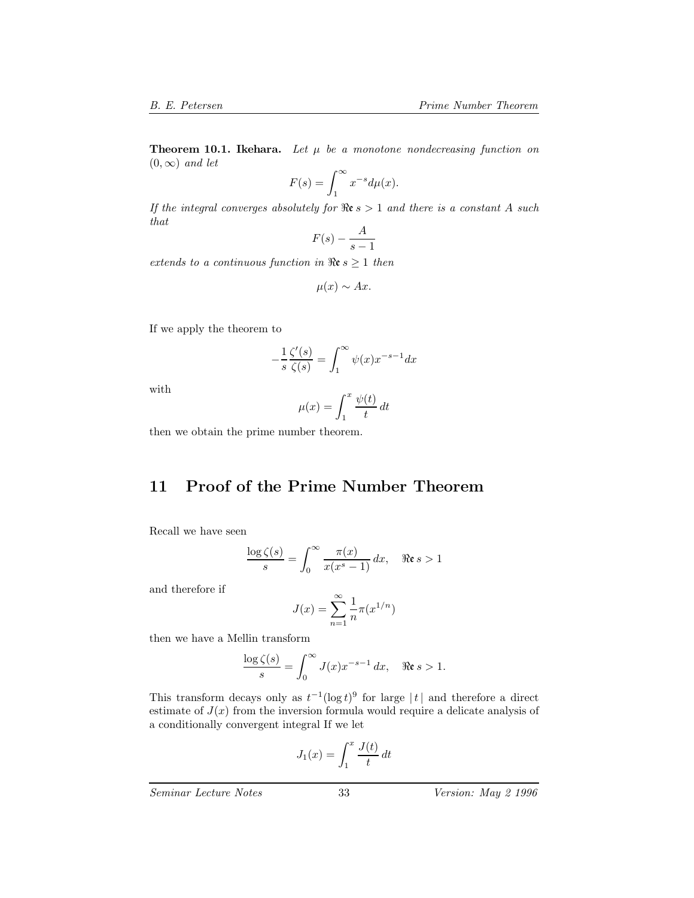**Theorem 10.1. Ikehara.** Let  $\mu$  be a monotone nondecreasing function on  $(0, \infty)$  *and let* 

$$
F(s) = \int_1^\infty x^{-s} d\mu(x).
$$

If the integral converges absolutely for  $\Re$ **e**  $s > 1$  and there is a constant A such *that*

$$
F(s) - \frac{A}{s-1}
$$

*extends to a continuous function in*  $\Re$ **e**  $s \geq 1$  *then* 

$$
\mu(x) \sim Ax.
$$

If we apply the theorem to

$$
-\frac{1}{s}\frac{\zeta'(s)}{\zeta(s)} = \int_1^\infty \psi(x)x^{-s-1}dx
$$

with

$$
\mu(x) = \int_1^x \frac{\psi(t)}{t} dt
$$

then we obtain the prime number theorem.

## **11 Proof of the Prime Number Theorem**

Recall we have seen

$$
\frac{\log \zeta(s)}{s} = \int_0^\infty \frac{\pi(x)}{x(x^s - 1)} dx, \quad \Re \mathfrak{e} s > 1
$$

and therefore if

$$
J(x) = \sum_{n=1}^{\infty} \frac{1}{n} \pi(x^{1/n})
$$

then we have a Mellin transform

$$
\frac{\log \zeta(s)}{s} = \int_0^\infty J(x) x^{-s-1} \, dx, \quad \Re \mathfrak{e} \, s > 1.
$$

This transform decays only as  $t^{-1}(\log t)^9$  for large  $|t|$  and therefore a direct estimate of  $J(x)$  from the inversion formula would require a delicate analysis of a conditionally convergent integral If we let

$$
J_1(x) = \int_1^x \frac{J(t)}{t} dt
$$

*Seminar Lecture Notes* 33 *Version: May 2 1996*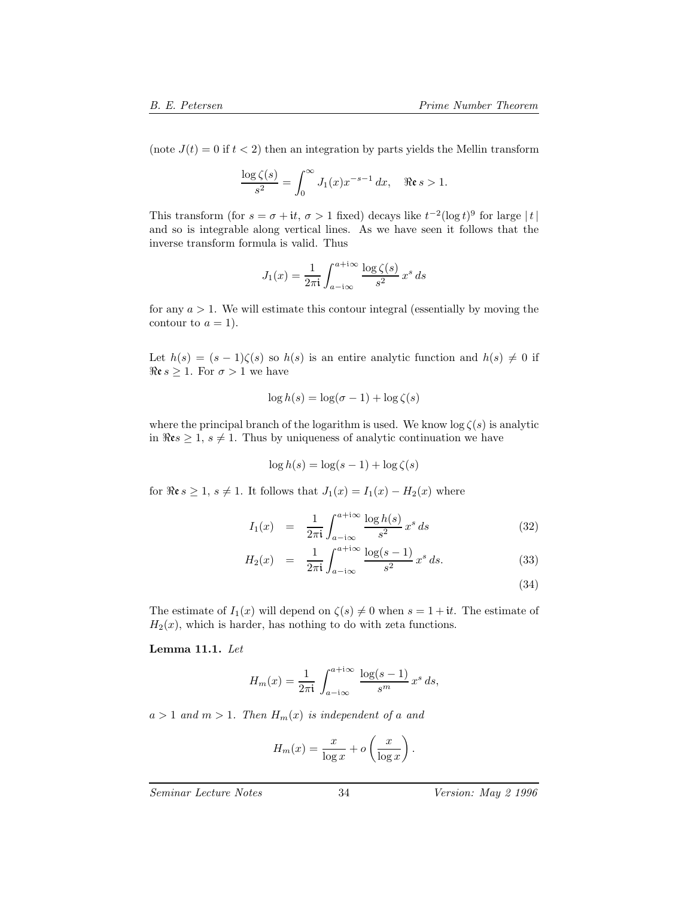(note  $J(t) = 0$  if  $t < 2$ ) then an integration by parts yields the Mellin transform

$$
\frac{\log \zeta(s)}{s^2} = \int_0^\infty J_1(x) x^{-s-1} dx, \quad \Re \mathfrak{e} s > 1.
$$

This transform (for  $s = \sigma + it$ ,  $\sigma > 1$  fixed) decays like  $t^{-2}(\log t)^9$  for large  $|t|$ and so is integrable along vertical lines. As we have seen it follows that the inverse transform formula is valid. Thus

$$
J_1(x) = \frac{1}{2\pi i} \int_{a - i\infty}^{a + i\infty} \frac{\log \zeta(s)}{s^2} x^s ds
$$

for any  $a > 1$ . We will estimate this contour integral (essentially by moving the contour to  $a = 1$ ).

Let  $h(s)=(s - 1)\zeta(s)$  so  $h(s)$  is an entire analytic function and  $h(s) \neq 0$  if  $\Re \varepsilon s \geq 1$ . For  $\sigma > 1$  we have

$$
\log h(s) = \log(\sigma - 1) + \log \zeta(s)
$$

where the principal branch of the logarithm is used. We know  $\log \zeta(s)$  is analytic in  $\Rees \geq 1$ ,  $s \neq 1$ . Thus by uniqueness of analytic continuation we have

$$
\log h(s) = \log(s - 1) + \log \zeta(s)
$$

for  $\Re \varepsilon s \geq 1$ ,  $s \neq 1$ . It follows that  $J_1(x) = I_1(x) - H_2(x)$  where

$$
I_1(x) = \frac{1}{2\pi i} \int_{a-i\infty}^{a+i\infty} \frac{\log h(s)}{s^2} x^s ds \tag{32}
$$

$$
H_2(x) = \frac{1}{2\pi i} \int_{a-i\infty}^{a+i\infty} \frac{\log(s-1)}{s^2} x^s ds.
$$
 (33)

(34)

The estimate of  $I_1(x)$  will depend on  $\zeta(s) \neq 0$  when  $s = 1 + it$ . The estimate of  $H_2(x)$ , which is harder, has nothing to do with zeta functions.

**Lemma 11.1.** *Let*

$$
H_m(x) = \frac{1}{2\pi i} \int_{a-i\infty}^{a+i\infty} \frac{\log(s-1)}{s^m} x^s ds,
$$

 $a > 1$  *and*  $m > 1$ *. Then*  $H_m(x)$  *is independent of a and* 

$$
H_m(x) = \frac{x}{\log x} + o\left(\frac{x}{\log x}\right).
$$

*Seminar Lecture Notes* 34 *Version: May 2 1996*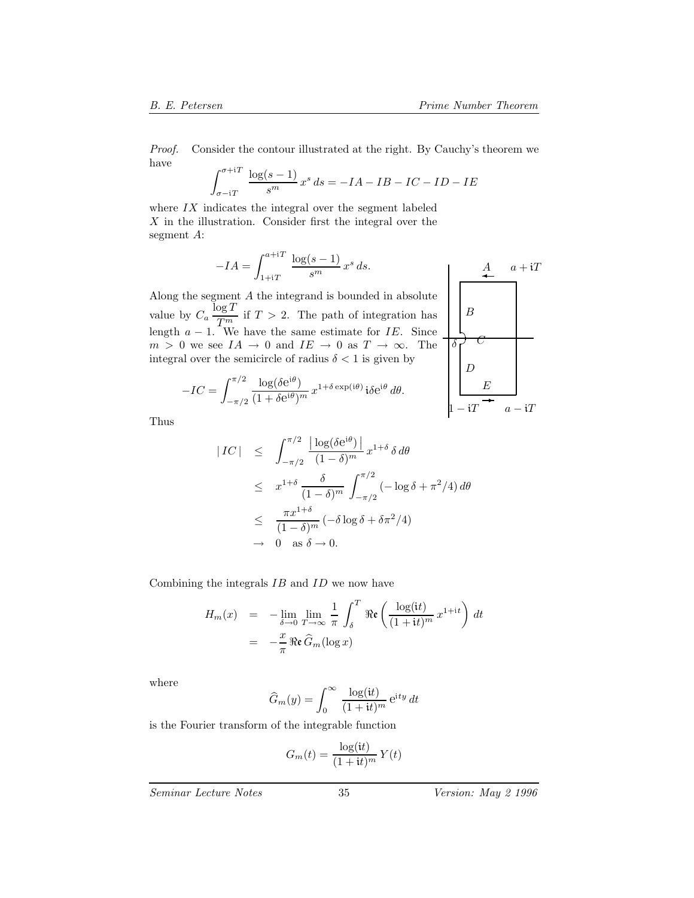B

the contract of the contract of the contract of the contract of the contract of the contract of the contract of

*Proof.* Consider the contour illustrated at the right. By Cauchy's theorem we have

$$
\int_{\sigma - iT}^{\sigma + iT} \frac{\log(s - 1)}{s^m} x^s ds = -IA - IB - IC - ID - IE
$$

where  $IX$  indicates the integral over the segment labeled  $X$  in the illustration. Consider first the integral over the segment A:

$$
-IA = \int_{1+iT}^{a+iT} \frac{\log(s-1)}{s^m} x^s ds.
$$

Along the segment A the integrand is bounded in absolute value by  $C_a \frac{\log T}{T_{\text{max}}}$  if  $T > 2$ . The path of integration has length  $a - 1$ . We have the same estimate for IE. Since  $m > 0$  we see  $IA \rightarrow 0$  and integral over the semicircle of

$$
\Rightarrow 0 \text{ and } IE \rightarrow 0 \text{ as } T \rightarrow \infty. \text{ Theicircle of radius } \delta < 1 \text{ is given by}
$$
  

$$
\frac{\log(\delta e^{i\theta})}{(1 + \delta e^{i\theta})^m} x^{1 + \delta \exp(i\theta)} i\delta e^{i\theta} d\theta.
$$

Thus

 $-IC =$ 

 $\int_0^{\pi/2}$ 

 $-\pi/2$ 

$$
|IC| \leq \int_{-\pi/2}^{\pi/2} \frac{|\log(\delta e^{i\theta})|}{(1-\delta)^m} x^{1+\delta} \delta d\theta
$$
  
\n
$$
\leq x^{1+\delta} \frac{\delta}{(1-\delta)^m} \int_{-\pi/2}^{\pi/2} (-\log \delta + \pi^2/4) d\theta
$$
  
\n
$$
\leq \frac{\pi x^{1+\delta}}{(1-\delta)^m} (-\delta \log \delta + \delta \pi^2/4)
$$
  
\n
$$
\to 0 \text{ as } \delta \to 0.
$$

Combining the integrals IB and ID we now have

$$
H_m(x) = -\lim_{\delta \to 0} \lim_{T \to \infty} \frac{1}{\pi} \int_{\delta}^{T} \Re \mathfrak{e} \left( \frac{\log(\mathrm{i}t)}{(1 + \mathrm{i}t)^m} x^{1 + \mathrm{i}t} \right) dt
$$
  
= 
$$
-\frac{x}{\pi} \Re \mathfrak{e} \widehat{G}_m(\log x)
$$

where

$$
\widehat{G}_m(y) = \int_0^\infty \frac{\log(\mathrm{i}t)}{(1 + \mathrm{i}t)^m} \,\mathrm{e}^{\mathrm{i}t y} \, dt
$$

is the Fourier transform of the integrable function

$$
G_m(t) = \frac{\log(it)}{(1+it)^m} Y(t)
$$

*Seminar Lecture Notes* 35 *Version: May 2 1996*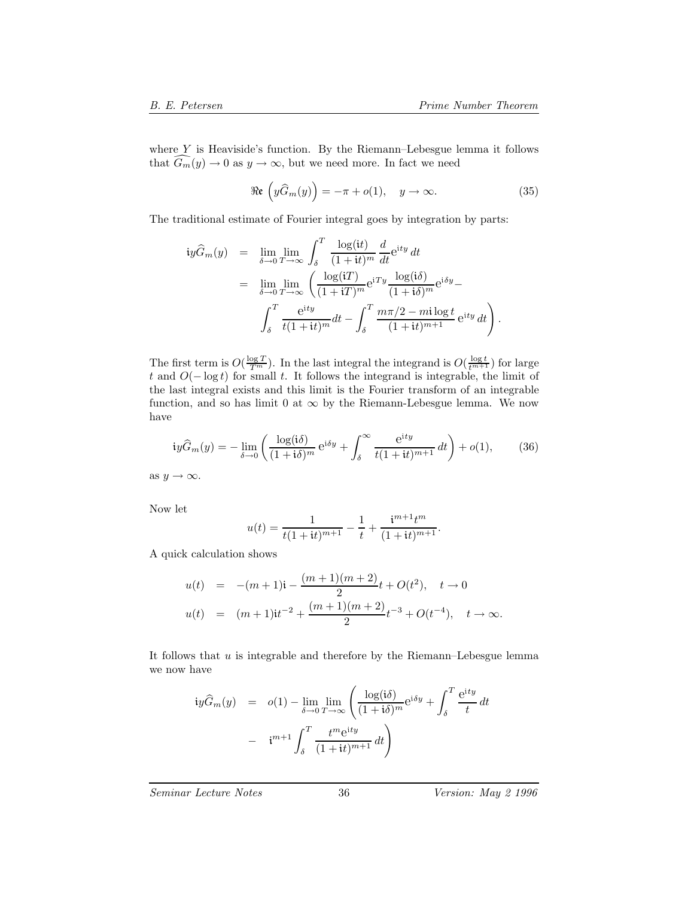where  $Y$  is Heaviside's function. By the Riemann–Lebesgue lemma it follows that  $G_m(y) \to 0$  as  $y \to \infty$ , but we need more. In fact we need

$$
\Re\mathfrak{e}\left(y\widehat{G}_m(y)\right) = -\pi + o(1), \quad y \to \infty.
$$
 (35)

The traditional estimate of Fourier integral goes by integration by parts:

$$
\begin{array}{rcl}\n\text{i}y\widehat{G}_m(y) & = & \lim_{\delta \to 0} \lim_{T \to \infty} \int_{\delta}^T \frac{\log(\text{i}t)}{(1+\text{i}t)^m} \frac{d}{dt} e^{\text{i}ty} \, dt \\
& = & \lim_{\delta \to 0} \lim_{T \to \infty} \left( \frac{\log(\text{i}T)}{(1+\text{i}T)^m} e^{\text{i}Ty} \frac{\log(\text{i}\delta)}{(1+\text{i}\delta)^m} e^{\text{i}\delta y} - \right. \\
& & \int_{\delta}^T \frac{e^{\text{i}ty}}{t(1+\text{i}t)^m} dt - \int_{\delta}^T \frac{m\pi/2 - m\text{i} \log t}{(1+\text{i}t)^{m+1}} e^{\text{i}ty} \, dt \right).\n\end{array}
$$

The first term is  $O(\frac{\log T}{T^m})$ . In the last integral the integrand is  $O(\frac{\log t}{t^{m+1}})$  for large t and  $O(-\log t)$  for small t. It follows the integrand is integrable, the limit of the last integral exists and this limit is the Fourier transform of an integrable function, and so has limit 0 at  $\infty$  by the Riemann-Lebesgue lemma. We now have

$$
ig\widehat{G}_m(y) = -\lim_{\delta \to 0} \left( \frac{\log(\mathrm{i}\delta)}{(1 + \mathrm{i}\delta)^m} e^{\mathrm{i}\delta y} + \int_{\delta}^{\infty} \frac{e^{\mathrm{i}ty}}{t(1 + \mathrm{i}t)^{m+1}} dt \right) + o(1),\tag{36}
$$

as  $y \to \infty$ .

Now let

$$
u(t) = \frac{1}{t(1+it)^{m+1}} - \frac{1}{t} + \frac{i^{m+1}t^m}{(1+it)^{m+1}}.
$$

A quick calculation shows

$$
u(t) = -(m+1)i - \frac{(m+1)(m+2)}{2}t + O(t^2), \quad t \to 0
$$
  

$$
u(t) = (m+1)i t^{-2} + \frac{(m+1)(m+2)}{2}t^{-3} + O(t^{-4}), \quad t \to \infty.
$$

It follows that  $u$  is integrable and therefore by the Riemann–Lebesgue lemma we now have

$$
\begin{array}{rcl}\n\text{i}y\widehat{G}_m(y) & = & o(1) - \lim_{\delta \to 0} \lim_{T \to \infty} \left( \frac{\log(\text{i}\delta)}{(1 + \text{i}\delta)^m} e^{\text{i}\delta y} + \int_{\delta}^T \frac{e^{\text{i}ty}}{t} \, dt \right. \\
&\quad & - & \text{i}^{m+1} \int_{\delta}^T \frac{t^m e^{\text{i}ty}}{(1 + \text{i}t)^{m+1}} \, dt\n\end{array}
$$

*Seminar Lecture Notes* 36 *Version: May 2 1996*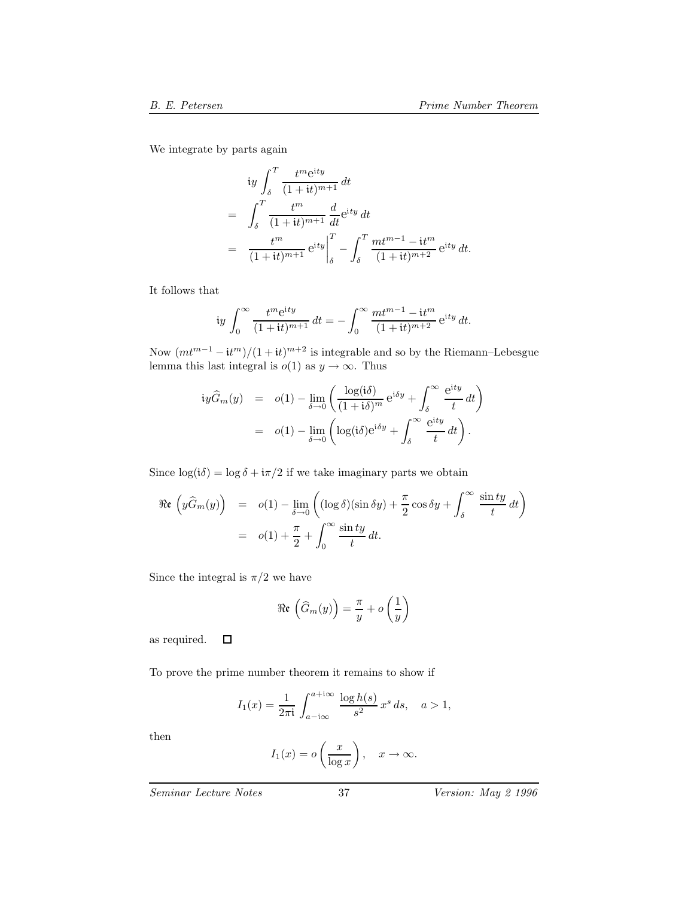We integrate by parts again

$$
\begin{split} \n\text{i} & y \int_{\delta}^{T} \frac{t^m \mathbf{e}^{\mathbf{i} t y}}{(1 + \mathbf{i} t)^{m+1}} \, dt \\ \n& = \int_{\delta}^{T} \frac{t^m}{(1 + \mathbf{i} t)^{m+1}} \frac{d}{dt} \mathbf{e}^{\mathbf{i} t y} \, dt \\ \n& = \left. \frac{t^m}{(1 + \mathbf{i} t)^{m+1}} \mathbf{e}^{\mathbf{i} t y} \right|_{\delta}^{T} - \int_{\delta}^{T} \frac{mt^{m-1} - \mathbf{i} t^m}{(1 + \mathbf{i} t)^{m+2}} \mathbf{e}^{\mathbf{i} t y} \, dt. \n\end{split}
$$

It follows that

$$
\text{i}y \int_0^\infty \frac{t^m e^{\text{i}ty}}{(1+\text{i}t)^{m+1}} dt = -\int_0^\infty \frac{mt^{m-1} - \text{i}t^m}{(1+\text{i}t)^{m+2}} e^{\text{i}ty} dt.
$$

Now  $(mt^{m-1} - it^m)/(1 + it)^{m+2}$  is integrable and so by the Riemann–Lebesgue lemma this last integral is  $o(1)$  as  $y \to \infty$ . Thus

$$
\begin{array}{rcl}\n\text{i}y\widehat{G}_m(y) & = & o(1) - \lim_{\delta \to 0} \left( \frac{\log(\text{i}\delta)}{(1 + \text{i}\delta)^m} e^{\text{i}\delta y} + \int_{\delta}^{\infty} \frac{e^{\text{i}ty}}{t} \, dt \right) \\
& = & o(1) - \lim_{\delta \to 0} \left( \log(\text{i}\delta) e^{\text{i}\delta y} + \int_{\delta}^{\infty} \frac{e^{\text{i}ty}}{t} \, dt \right).\n\end{array}
$$

Since  $\log(i\delta) = \log \delta + i\pi/2$  if we take imaginary parts we obtain

$$
\Re\mathfrak{e}\left(y\widehat{G}_m(y)\right) = o(1) - \lim_{\delta \to 0} \left( (\log \delta)(\sin \delta y) + \frac{\pi}{2}\cos \delta y + \int_{\delta}^{\infty} \frac{\sin ty}{t} dt \right)
$$

$$
= o(1) + \frac{\pi}{2} + \int_{0}^{\infty} \frac{\sin ty}{t} dt.
$$

Since the integral is  $\pi/2$  we have

$$
\Re\mathfrak{e}\left(\widehat{G}_m(y)\right) = \frac{\pi}{y} + o\left(\frac{1}{y}\right)
$$

as required.  $\Box$ 

To prove the prime number theorem it remains to show if

$$
I_1(x) = \frac{1}{2\pi i} \int_{a-i\infty}^{a+i\infty} \frac{\log h(s)}{s^2} x^s ds, \quad a > 1,
$$

then

$$
I_1(x) = o\left(\frac{x}{\log x}\right), \quad x \to \infty.
$$

*Seminar Lecture Notes* 37 *Version: May 2 1996*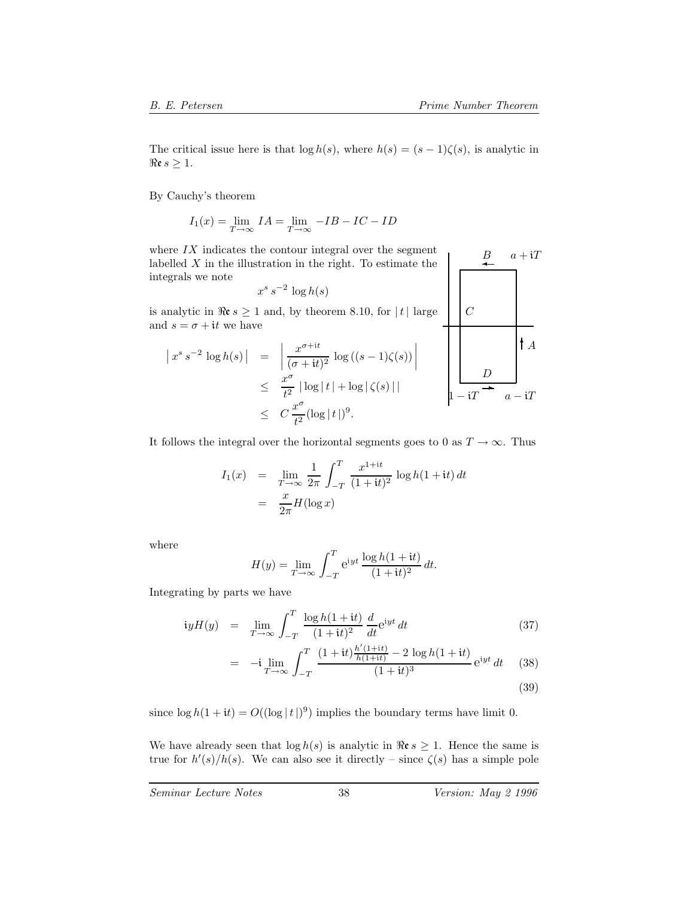B

C

 $a + iT$ 

The critical issue here is that  $\log h(s)$ , where  $h(s)=(s-1)\zeta(s)$ , is analytic in  $\Re \varepsilon s \geq 1$ .

By Cauchy's theorem

$$
I_1(x) = \lim_{T \to \infty} I A = \lim_{T \to \infty} -IB - IC - ID
$$

where  $IX$  indicates the contour integral over the segment labelled  $X$  in the illustration in the right. To estimate the integrals we note  $x^s s^{-2} \log h(s)$ 

is analytic in 
$$
\Re \epsilon s \ge 1
$$
 and, by theorem 8.10, for  $|t|$  large and  $s = \sigma + it$  we have

$$
\begin{array}{rcl}\n\left|x^{s} \, s^{-2} \, \log h(s)\right| & = & \left|\frac{x^{\sigma+it}}{(\sigma+it)^{2}} \, \log \left((s-1)\zeta(s)\right)\right| \\
& \leq & \frac{x^{\sigma}}{t^{2}} \, |\log|t| + \log|\zeta(s)| \\
& \leq & C \, \frac{x^{\sigma}}{t^{2}} (\log|t|)^{9}.\n\end{array}
$$

It follows the integral over the horizontal segments goes to 0 as  $T \to \infty$ . Thus

$$
I_1(x) = \lim_{T \to \infty} \frac{1}{2\pi} \int_{-T}^{T} \frac{x^{1+it}}{(1+it)^2} \log h(1+it) dt
$$
  
= 
$$
\frac{x}{2\pi} H(\log x)
$$

where

$$
H(y) = \lim_{T \to \infty} \int_{-T}^{T} e^{iyt} \frac{\log h(1+it)}{(1+it)^2} dt.
$$

Integrating by parts we have

$$
iyH(y) = \lim_{T \to \infty} \int_{-T}^{T} \frac{\log h(1+it)}{(1+it)^2} \frac{d}{dt} e^{iyt} dt \tag{37}
$$

$$
= -i \lim_{T \to \infty} \int_{-T}^{T} \frac{(1+it)\frac{h'(1+it)}{h(1+it)} - 2 \log h(1+it)}{(1+it)^3} e^{iyt} dt \quad (38)
$$

(39)

since  $\log h(1 + it) = O((\log |t|)^9)$  implies the boundary terms have limit 0.

We have already seen that  $\log h(s)$  is analytic in  $\Re \varepsilon s \geq 1$ . Hence the same is true for  $h'(s)/h(s)$ . We can also see it directly – since  $\zeta(s)$  has a simple pole

*Seminar Lecture Notes* 38 *Version: May 2 1996*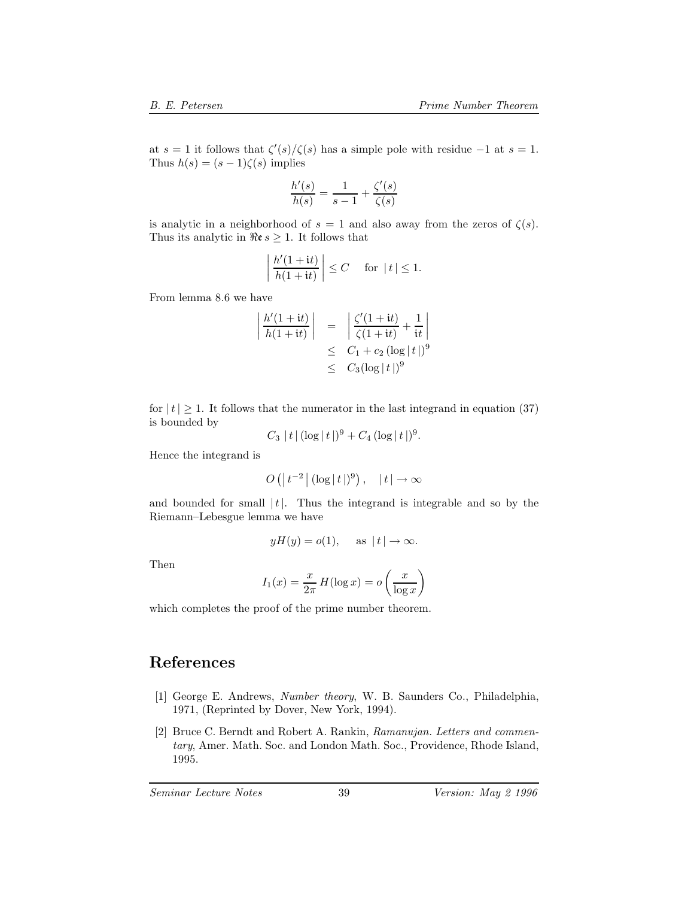at  $s = 1$  it follows that  $\zeta'(s)/\zeta(s)$  has a simple pole with residue  $-1$  at  $s = 1$ . Thus  $h(s)=(s-1)\zeta(s)$  implies

$$
\frac{h'(s)}{h(s)} = \frac{1}{s-1} + \frac{\zeta'(s)}{\zeta(s)}
$$

is analytic in a neighborhood of  $s = 1$  and also away from the zeros of  $\zeta(s)$ . Thus its analytic in  $\Re \varepsilon s \geq 1$ . It follows that

$$
\left| \frac{h'(1+{\bf i}t)}{h(1+{\bf i}t)} \right| \leq C \quad \text{ for } |t| \leq 1.
$$

From lemma 8.6 we have

$$
\begin{array}{|l|l|}\n\left| \frac{h'(1+it)}{h(1+it)} \right| & = & \left| \frac{\zeta'(1+it)}{\zeta(1+it)} + \frac{1}{it} \right| \\
& \leq & C_1 + c_2 \left( \log|t| \right)^9 \\
& \leq & C_3 (\log|t|)^9\n\end{array}
$$

for  $|t| \geq 1$ . It follows that the numerator in the last integrand in equation (37) is bounded by

$$
C_3 |t| (\log |t|)^9 + C_4 (\log |t|)^9.
$$

Hence the integrand is

$$
O\left(\left|\,t^{-2}\,\right|(\log|t\,|)^9\right),\quad | \,t\,| \to \infty
$$

and bounded for small  $|t|$ . Thus the integrand is integrable and so by the Riemann–Lebesgue lemma we have

$$
yH(y) = o(1)
$$
, as  $|t| \to \infty$ .

Then

$$
I_1(x) = \frac{x}{2\pi} H(\log x) = o\left(\frac{x}{\log x}\right)
$$

which completes the proof of the prime number theorem.

## **References**

- [1] George E. Andrews, *Number theory*, W. B. Saunders Co., Philadelphia, 1971, (Reprinted by Dover, New York, 1994).
- [2] Bruce C. Berndt and Robert A. Rankin, *Ramanujan. Letters and commentary*, Amer. Math. Soc. and London Math. Soc., Providence, Rhode Island, 1995.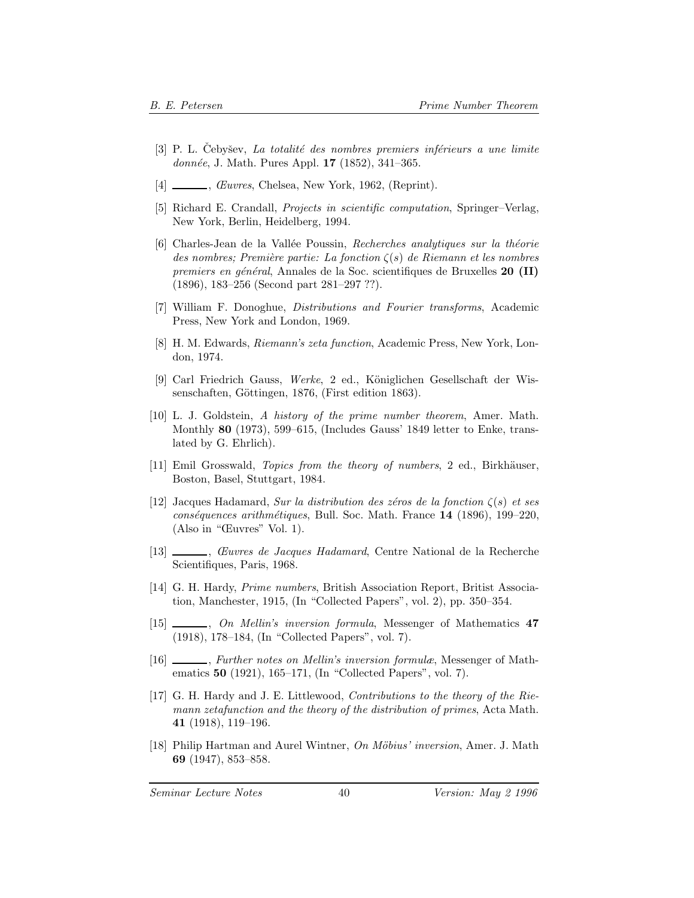- [3] P. L. Cebyšev, *La totalité des nombres premiers inférieurs a une limite donn´ee*, J. Math. Pures Appl. **17** (1852), 341–365.
- [4] , *Œuvres*, Chelsea, New York, 1962, (Reprint).
- [5] Richard E. Crandall, *Projects in scientific computation*, Springer–Verlag, New York, Berlin, Heidelberg, 1994.
- [6] Charles-Jean de la Vall´ee Poussin, *Recherches analytiques sur la th´eorie des nombres; Premi`ere partie: La fonction* ζ(s) *de Riemann et les nombres premiers en g´en´eral*, Annales de la Soc. scientifiques de Bruxelles **20 (II)** (1896), 183–256 (Second part 281–297 ??).
- [7] William F. Donoghue, *Distributions and Fourier transforms*, Academic Press, New York and London, 1969.
- [8] H. M. Edwards, *Riemann's zeta function*, Academic Press, New York, London, 1974.
- [9] Carl Friedrich Gauss, *Werke*, 2 ed., Königlichen Gesellschaft der Wissenschaften, Göttingen, 1876, (First edition 1863).
- [10] L. J. Goldstein, *A history of the prime number theorem*, Amer. Math. Monthly **80** (1973), 599–615, (Includes Gauss' 1849 letter to Enke, translated by G. Ehrlich).
- [11] Emil Grosswald, *Topics from the theory of numbers*, 2 ed., Birkhäuser, Boston, Basel, Stuttgart, 1984.
- [12] Jacques Hadamard, *Sur la distribution des zéros de la fonction*  $\zeta(s)$  *et ses cons´equences arithm´etiques*, Bull. Soc. Math. France **14** (1896), 199–220, (Also in "Œuvres" Vol. 1).
- [13] , *Œuvres de Jacques Hadamard*, Centre National de la Recherche Scientifiques, Paris, 1968.
- [14] G. H. Hardy, *Prime numbers*, British Association Report, Britist Association, Manchester, 1915, (In "Collected Papers", vol. 2), pp. 350–354.
- [15] , *On Mellin's inversion formula*, Messenger of Mathematics **47** (1918), 178–184, (In "Collected Papers", vol. 7).
- [16] , *Further notes on Mellin's inversion formulæ*, Messenger of Mathematics **50** (1921), 165–171, (In "Collected Papers", vol. 7).
- [17] G. H. Hardy and J. E. Littlewood, *Contributions to the theory of the Riemann zetafunction and the theory of the distribution of primes*, Acta Math. **41** (1918), 119–196.
- [18] Philip Hartman and Aurel Wintner, *On M¨obius' inversion*, Amer. J. Math **69** (1947), 853–858.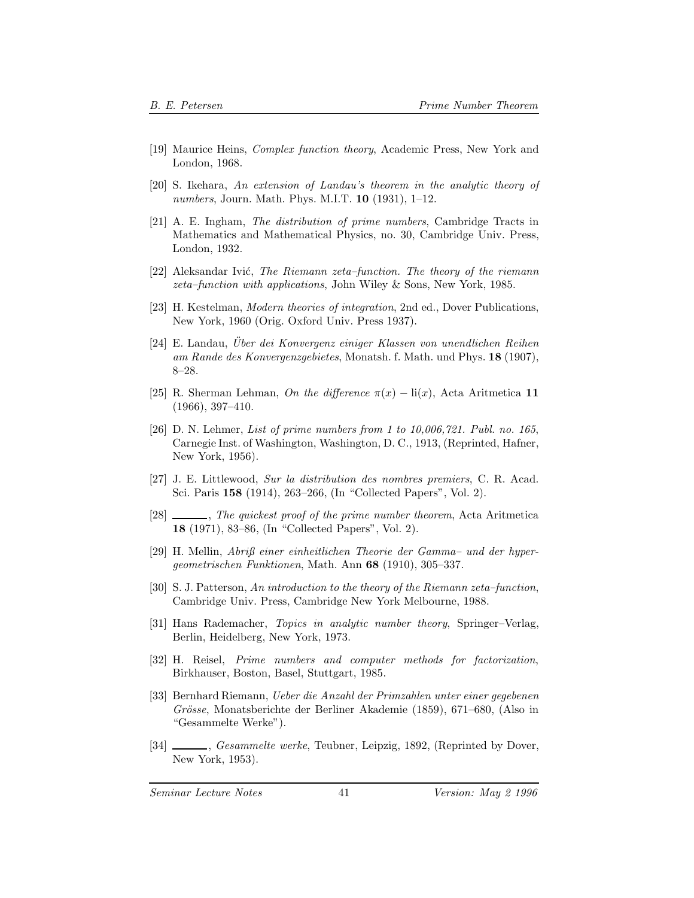- [19] Maurice Heins, *Complex function theory*, Academic Press, New York and London, 1968.
- [20] S. Ikehara, *An extension of Landau's theorem in the analytic theory of numbers*, Journ. Math. Phys. M.I.T. **10** (1931), 1–12.
- [21] A. E. Ingham, *The distribution of prime numbers*, Cambridge Tracts in Mathematics and Mathematical Physics, no. 30, Cambridge Univ. Press, London, 1932.
- [22] Aleksandar Ivi´c, *The Riemann zeta–function. The theory of the riemann zeta–function with applications*, John Wiley & Sons, New York, 1985.
- [23] H. Kestelman, *Modern theories of integration*, 2nd ed., Dover Publications, New York, 1960 (Orig. Oxford Univ. Press 1937).
- [24] E. Landau, *Über dei Konvergenz einiger Klassen von unendlichen Reihen am Rande des Konvergenzgebietes*, Monatsh. f. Math. und Phys. **18** (1907), 8–28.
- [25] R. Sherman Lehman, *On the difference*  $\pi(x) \text{li}(x)$ , Acta Aritmetica 11 (1966), 397–410.
- [26] D. N. Lehmer, *List of prime numbers from 1 to 10,006,721. Publ. no. 165*, Carnegie Inst. of Washington, Washington, D. C., 1913, (Reprinted, Hafner, New York, 1956).
- [27] J. E. Littlewood, *Sur la distribution des nombres premiers*, C. R. Acad. Sci. Paris **158** (1914), 263–266, (In "Collected Papers", Vol. 2).
- [28] , *The quickest proof of the prime number theorem*, Acta Aritmetica **18** (1971), 83–86, (In "Collected Papers", Vol. 2).
- [29] H. Mellin, *Abriß einer einheitlichen Theorie der Gamma– und der hypergeometrischen Funktionen*, Math. Ann **68** (1910), 305–337.
- [30] S. J. Patterson, *An introduction to the theory of the Riemann zeta–function*, Cambridge Univ. Press, Cambridge New York Melbourne, 1988.
- [31] Hans Rademacher, *Topics in analytic number theory*, Springer–Verlag, Berlin, Heidelberg, New York, 1973.
- [32] H. Reisel, *Prime numbers and computer methods for factorization*, Birkhauser, Boston, Basel, Stuttgart, 1985.
- [33] Bernhard Riemann, *Ueber die Anzahl der Primzahlen unter einer gegebenen Gr¨osse*, Monatsberichte der Berliner Akademie (1859), 671–680, (Also in "Gesammelte Werke").
- [34] *Sesammelte werke*, Teubner, Leipzig, 1892, (Reprinted by Dover, New York, 1953).